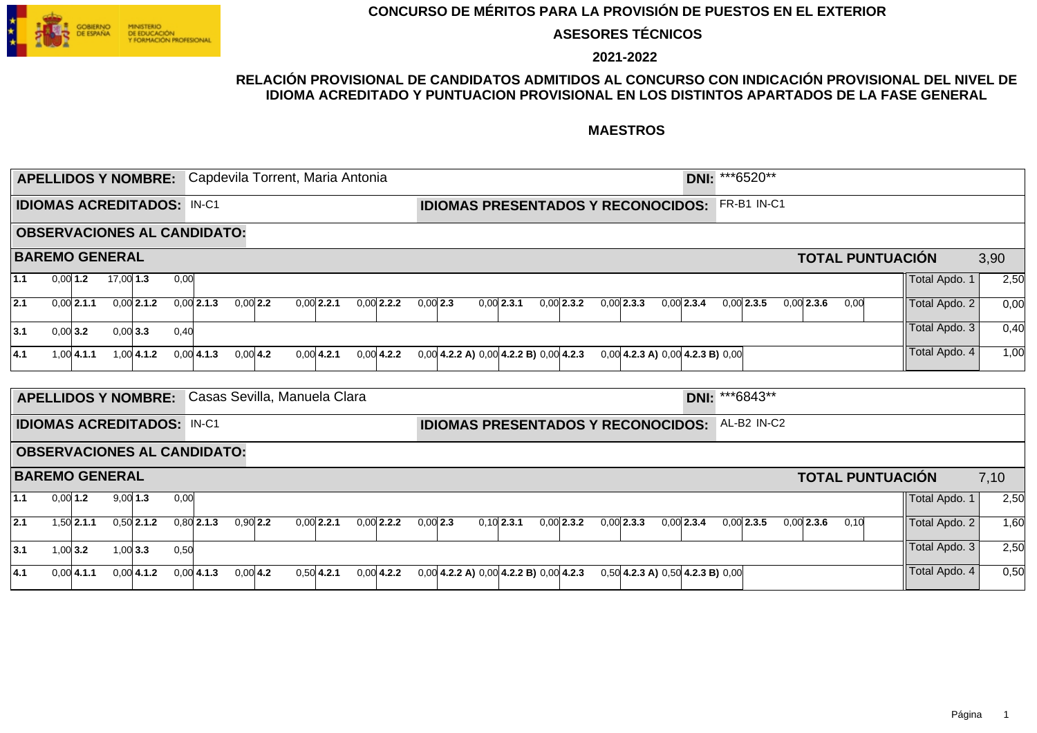

**ASESORES TÉCNICOS**

**2021-2022**

### **RELACIÓN PROVISIONAL DE CANDIDATOS ADMITIDOS AL CONCURSO CON INDICACIÓN PROVISIONAL DEL NIVEL DE IDIOMA ACREDITADO Y PUNTUACION PROVISIONAL EN LOS DISTINTOS APARTADOS DE LA FASE GENERAL**

|     |            |                      | <b>APELLIDOS Y NOMBRE:</b>        |              |      |                                    |            |                              |               | Capdevila Torrent, Maria Antonia |            |                                              |              |              |                                                       | DNI: ***6520** |              |              |  |                         |               |      |
|-----|------------|----------------------|-----------------------------------|--------------|------|------------------------------------|------------|------------------------------|---------------|----------------------------------|------------|----------------------------------------------|--------------|--------------|-------------------------------------------------------|----------------|--------------|--------------|--|-------------------------|---------------|------|
|     |            |                      | <b>IDIOMAS ACREDITADOS: IN-C1</b> |              |      |                                    |            |                              |               |                                  |            |                                              |              |              | <b>IDIOMAS PRESENTADOS Y RECONOCIDOS:</b>             |                | FR-B1 IN-C1  |              |  |                         |               |      |
|     |            |                      |                                   |              |      | <b>OBSERVACIONES AL CANDIDATO:</b> |            |                              |               |                                  |            |                                              |              |              |                                                       |                |              |              |  |                         |               |      |
|     |            |                      | <b>BAREMO GENERAL</b>             |              |      |                                    |            |                              |               |                                  |            |                                              |              |              |                                                       |                |              |              |  | <b>TOTAL PUNTUACIÓN</b> |               | 3,90 |
| 1.1 |            | 0.0011.2             | $17,00$ 1.3                       |              | 0,00 |                                    |            |                              |               |                                  |            |                                              |              |              |                                                       |                |              |              |  |                         | Total Apdo. 1 | 2,50 |
| 2.1 |            | $0.001$ <b>2.1.1</b> |                                   | $0.00$ 2.1.2 |      | $0,00$ 2.1.3                       | $0.00$ 2.2 |                              | $0.00$ 2.2.1  | $0.00$ 2.2.2                     | $0.00$ 2.3 | $0.00$ 2.3.1                                 | $0.00$ 2.3.2 | $0.00$ 2.3.3 | $0.00$ 2.3.4                                          |                | $0,00$ 2.3.5 | $0.00$ 2.3.6 |  | 0.00                    | Total Apdo. 2 | 0,00 |
| 3.1 | $0,00$ 3.2 |                      | $0,00$ 3.3                        |              | 0,40 |                                    |            |                              |               |                                  |            |                                              |              |              |                                                       |                |              |              |  |                         | Total Apdo. 3 | 0,40 |
| 4.1 |            | $1,00$ 4.1.1         |                                   | $1,00$ 4.1.2 |      | 0.0014.1.3                         | $0,00$ 4.2 |                              | $0.00 $ 4.2.1 | $0,00$ 4.2.2                     |            | $0,00$ 4.2.2 A) $0,00$ 4.2.2 B) $0,00$ 4.2.3 |              |              | $0,00$ 4.2.3 A) $0,00$ 4.2.3 B) $0,00$                |                |              |              |  |                         | Total Apdo. 4 | 1,00 |
|     |            |                      | <b>APELLIDOS Y NOMBRE:</b>        |              |      |                                    |            | Casas Sevilla, Manuela Clara |               |                                  |            |                                              |              |              |                                                       | DNI: ***6843** |              |              |  |                         |               |      |
|     |            |                      | <b>IDIOMAS ACREDITADOS: IN-C1</b> |              |      |                                    |            |                              |               |                                  |            |                                              |              |              | <b>IDIOMAS PRESENTADOS Y RECONOCIDOS: AL-B2 IN-C2</b> |                |              |              |  |                         |               |      |
|     |            |                      |                                   |              |      | <b>OBSERVACIONES AL CANDIDATO:</b> |            |                              |               |                                  |            |                                              |              |              |                                                       |                |              |              |  |                         |               |      |
|     |            |                      | <b>BAREMO GENERAL</b>             |              |      |                                    |            |                              |               |                                  |            |                                              |              |              |                                                       |                |              |              |  | <b>TOTAL PUNTUACIÓN</b> |               | 7,10 |
| 1.1 | $0,00$ 1.2 |                      | $9,00$ 1.3                        |              | 0,00 |                                    |            |                              |               |                                  |            |                                              |              |              |                                                       |                |              |              |  |                         | Total Apdo. 1 | 2,50 |
| 2.1 |            | $1,50$ 2.1.1         |                                   | $0,50$ 2.1.2 |      | $0,80$ 2.1.3                       | $0,90$ 2.2 |                              | $0,00$ 2.2.1  | $0,00$ 2.2.2                     | $0,00$ 2.3 | $0,10$ 2.3.1                                 | $0,00$ 2.3.2 | $0,00$ 2.3.3 | $0,00$ 2.3.4                                          |                | $0,00$ 2.3.5 | $0.00$ 2.3.6 |  | 0,10                    | Total Apdo. 2 | 1,60 |
| 3.1 | $1,00$ 3.2 |                      | $1,00$ 3.3                        |              | 0,50 |                                    |            |                              |               |                                  |            |                                              |              |              |                                                       |                |              |              |  |                         | Total Apdo. 3 | 2,50 |
| 4.1 |            | $0,00$ 4.1.1         |                                   | $0,00$ 4.1.2 |      | $0,00$ 4.1.3                       | $0,00$ 4.2 |                              | $0,50$ 4.2.1  | $0.00$ 4.2.2                     |            | $0,00$ 4.2.2 A) $0,00$ 4.2.2 B) $0,00$ 4.2.3 |              |              | $0,50$ 4.2.3 A) $0,50$ 4.2.3 B) $0,00$                |                |              |              |  |                         | Total Apdo. 4 | 0,50 |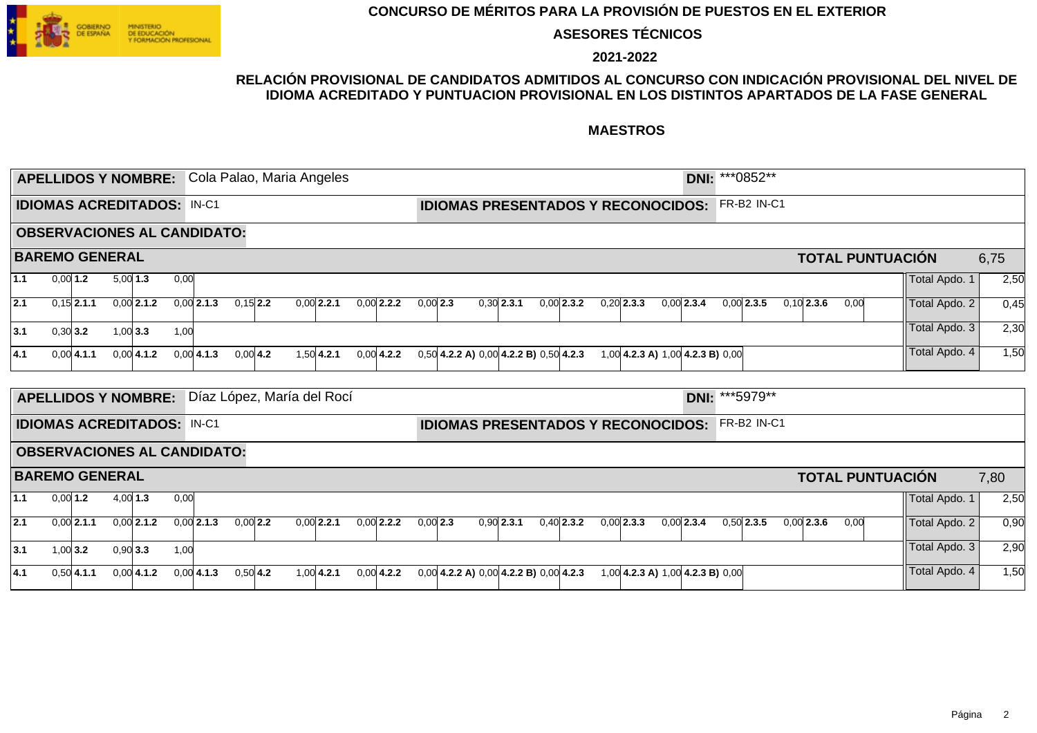

**ASESORES TÉCNICOS**

**2021-2022**

### **RELACIÓN PROVISIONAL DE CANDIDATOS ADMITIDOS AL CONCURSO CON INDICACIÓN PROVISIONAL DEL NIVEL DE IDIOMA ACREDITADO Y PUNTUACION PROVISIONAL EN LOS DISTINTOS APARTADOS DE LA FASE GENERAL**

|     |            | <b>APELLIDOS Y NOMBRE:</b>        |            |              |      |                                    |            | Cola Palao, Maria Angeles  |               |              |            |                                              |              |              |                                  | DNI: *** 0852** |              |                    |              |      |                         |      |
|-----|------------|-----------------------------------|------------|--------------|------|------------------------------------|------------|----------------------------|---------------|--------------|------------|----------------------------------------------|--------------|--------------|----------------------------------|-----------------|--------------|--------------------|--------------|------|-------------------------|------|
|     |            | <b>IDIOMAS ACREDITADOS: IN-C1</b> |            |              |      |                                    |            |                            |               |              |            | <b>IDIOMAS PRESENTADOS Y RECONOCIDOS:</b>    |              |              |                                  |                 |              | <b>FR-B2 IN-C1</b> |              |      |                         |      |
|     |            |                                   |            |              |      | <b>OBSERVACIONES AL CANDIDATO:</b> |            |                            |               |              |            |                                              |              |              |                                  |                 |              |                    |              |      |                         |      |
|     |            | <b>BAREMO GENERAL</b>             |            |              |      |                                    |            |                            |               |              |            |                                              |              |              |                                  |                 |              |                    |              |      | <b>TOTAL PUNTUACIÓN</b> | 6,75 |
| 1.1 | $0,00$ 1.2 |                                   | $5,00$ 1.3 |              | 0,00 |                                    |            |                            |               |              |            |                                              |              |              |                                  |                 |              |                    |              |      | Total Apdo. 1           | 2,50 |
| 2.1 |            | $0,15$ 2.1.1                      |            | $0,00$ 2.1.2 |      | $0.00$ 2.1.3                       | $0.15$ 2.2 |                            | $0.00$ 2.2.1  | $0.00$ 2.2.2 | $0.00$ 2.3 |                                              | $0.30$ 2.3.1 | $0.00$ 2.3.2 | $0,20$ 2.3.3                     | $0.00$ 2.3.4    | $0.00$ 2.3.5 |                    | $0.10$ 2.3.6 | 0,00 | Total Apdo. 2           | 0,45 |
| 3.1 | $0,30$ 3.2 |                                   | $1,00$ 3.3 |              | 1,00 |                                    |            |                            |               |              |            |                                              |              |              |                                  |                 |              |                    |              |      | Total Apdo. 3           | 2,30 |
| 4.1 |            | $0,00$ 4.1.1                      |            | $0,00$ 4.1.2 |      | $0,00$ 4.1.3                       | $0,00$ 4.2 |                            | $1.50$ 4.2.1  | $0.00$ 4.2.2 |            | $0,50$ 4.2.2 A) $0,00$ 4.2.2 B) $0,50$ 4.2.3 |              |              | 1,00 4.2.3 A) 1,00 4.2.3 B) 0,00 |                 |              |                    |              |      | Total Apdo. 4           | 1,50 |
|     |            |                                   |            |              |      |                                    |            |                            |               |              |            |                                              |              |              |                                  |                 |              |                    |              |      |                         |      |
|     |            | <b>APELLIDOS Y NOMBRE:</b>        |            |              |      |                                    |            | Díaz López, María del Rocí |               |              |            |                                              |              |              |                                  | DNI: *** 5979** |              |                    |              |      |                         |      |
|     |            | <b>IDIOMAS ACREDITADOS: IN-C1</b> |            |              |      |                                    |            |                            |               |              |            | <b>IDIOMAS PRESENTADOS Y RECONOCIDOS:</b>    |              |              |                                  |                 |              | FR-B2 IN-C1        |              |      |                         |      |
|     |            |                                   |            |              |      | <b>OBSERVACIONES AL CANDIDATO:</b> |            |                            |               |              |            |                                              |              |              |                                  |                 |              |                    |              |      |                         |      |
|     |            | <b>BAREMO GENERAL</b>             |            |              |      |                                    |            |                            |               |              |            |                                              |              |              |                                  |                 |              |                    |              |      | <b>TOTAL PUNTUACIÓN</b> | 7,80 |
| 1.1 |            | $0,00$ 1.2                        | $4,00$ 1.3 |              | 0,00 |                                    |            |                            |               |              |            |                                              |              |              |                                  |                 |              |                    |              |      | Total Apdo. 1           | 2,50 |
| 2.1 |            | $0.00$ 2.1.1                      |            | $0.00$ 2.1.2 |      | $0,00$ 2.1.3                       | $0,00$ 2.2 |                            | $0,00$ 2.2.1  | $0,00$ 2.2.2 | $0,00$ 2.3 |                                              | $0,90$ 2.3.1 | $0,40$ 2.3.2 | $0,00$ 2.3.3                     | $0.00$ 2.3.4    | $0,50$ 2.3.5 |                    | $0,00$ 2.3.6 | 0,00 | Total Apdo. 2           | 0,90 |
| 3.1 |            | 1.00 $3.2$                        | $0,90$ 3.3 |              | 1,00 |                                    |            |                            |               |              |            |                                              |              |              |                                  |                 |              |                    |              |      | Total Apdo. 3           | 2,90 |
| 4.1 |            | $0,50$ 4.1.1                      |            | $0,00$ 4.1.2 |      | $0,00$ 4.1.3                       | $0,50$ 4.2 |                            | $1.00 $ 4.2.1 | $0.00$ 4.2.2 |            | $0,00$ 4.2.2 A) $0,00$ 4.2.2 B) $0,00$ 4.2.3 |              |              | 1,00 4.2.3 A) 1,00 4.2.3 B) 0,00 |                 |              |                    |              |      | Total Apdo. 4           | 1,50 |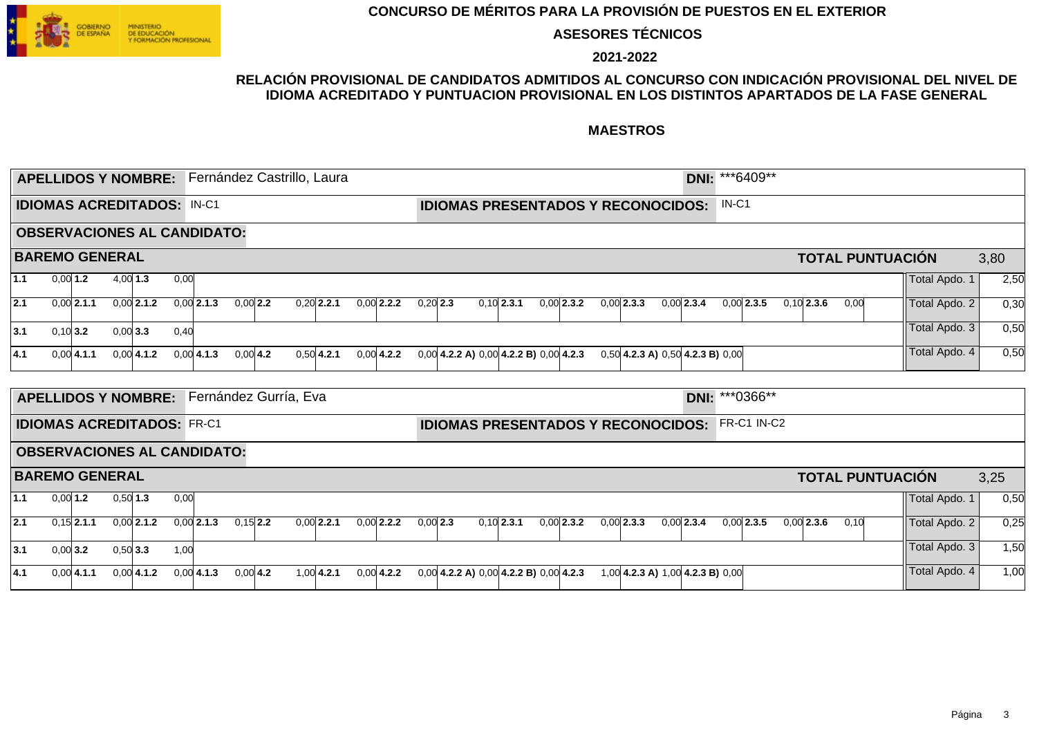

**ASESORES TÉCNICOS**

**2021-2022**

### **RELACIÓN PROVISIONAL DE CANDIDATOS ADMITIDOS AL CONCURSO CON INDICACIÓN PROVISIONAL DEL NIVEL DE IDIOMA ACREDITADO Y PUNTUACION PROVISIONAL EN LOS DISTINTOS APARTADOS DE LA FASE GENERAL**

|     |            |                                   |            |              |      | <b>APELLIDOS Y NOMBRE:</b> Fernández Castrillo, Laura |            |  |              |              |            |                                              |              |              |                                        |              | DNI: ***6409**  |         |                    |              |      |                         |               |      |
|-----|------------|-----------------------------------|------------|--------------|------|-------------------------------------------------------|------------|--|--------------|--------------|------------|----------------------------------------------|--------------|--------------|----------------------------------------|--------------|-----------------|---------|--------------------|--------------|------|-------------------------|---------------|------|
|     |            | <b>IDIOMAS ACREDITADOS: IN-C1</b> |            |              |      |                                                       |            |  |              |              |            | <b>IDIOMAS PRESENTADOS Y RECONOCIDOS:</b>    |              |              |                                        |              |                 | $IN-C1$ |                    |              |      |                         |               |      |
|     |            |                                   |            |              |      | <b>OBSERVACIONES AL CANDIDATO:</b>                    |            |  |              |              |            |                                              |              |              |                                        |              |                 |         |                    |              |      |                         |               |      |
|     |            | <b>BAREMO GENERAL</b>             |            |              |      |                                                       |            |  |              |              |            |                                              |              |              |                                        |              |                 |         |                    |              |      | <b>TOTAL PUNTUACIÓN</b> |               | 3,80 |
| 1.1 | $0,00$ 1.2 |                                   | 4.0011.3   |              | 0,00 |                                                       |            |  |              |              |            |                                              |              |              |                                        |              |                 |         |                    |              |      |                         | Total Apdo. 1 | 2,50 |
| 2.1 |            | $0,00$ 2.1.1                      |            | $0,00$ 2.1.2 |      | $0,00$ 2.1.3                                          | $0,00$ 2.2 |  | $0,20$ 2.2.1 | $0,00$ 2.2.2 | $0,20$ 2.3 |                                              | $0.10$ 2.3.1 | $0.00$ 2.3.2 | $0,00$ 2.3.3                           | $0,00$ 2.3.4 |                 |         | $0.00$ 2.3.5       | $0,10$ 2.3.6 | 0,00 |                         | Total Apdo. 2 | 0,30 |
| 3.1 | $0,10$ 3.2 |                                   | 0,00 3.3   |              | 0.40 |                                                       |            |  |              |              |            |                                              |              |              |                                        |              |                 |         |                    |              |      |                         | Total Apdo. 3 | 0,50 |
| 4.1 |            | $0,00$ 4.1.1                      |            | 0.0014.1.2   |      | $0.00 $ 4.1.3                                         | $0,00$ 4.2 |  | $0,50$ 4.2.1 | $0.00$ 4.2.2 |            | $0,00$ 4.2.2 A) $0,00$ 4.2.2 B) $0,00$ 4.2.3 |              |              | $0,50$ 4.2.3 A) $0,50$ 4.2.3 B) $0,00$ |              |                 |         |                    |              |      |                         | Total Apdo. 4 | 0,50 |
|     |            | <b>APELLIDOS Y NOMBRE:</b>        |            |              |      | Fernández Gurría, Eva                                 |            |  |              |              |            |                                              |              |              |                                        |              | DNI: *** 0366** |         |                    |              |      |                         |               |      |
|     |            | <b>IDIOMAS ACREDITADOS: FR-C1</b> |            |              |      |                                                       |            |  |              |              |            | <b>IDIOMAS PRESENTADOS Y RECONOCIDOS:</b>    |              |              |                                        |              |                 |         | <b>FR-C1 IN-C2</b> |              |      |                         |               |      |
|     |            |                                   |            |              |      | <b>OBSERVACIONES AL CANDIDATO:</b>                    |            |  |              |              |            |                                              |              |              |                                        |              |                 |         |                    |              |      |                         |               |      |
|     |            | <b>BAREMO GENERAL</b>             |            |              |      |                                                       |            |  |              |              |            |                                              |              |              |                                        |              |                 |         |                    |              |      | <b>TOTAL PUNTUACIÓN</b> |               | 3,25 |
| 1.1 | $0,00$ 1.2 |                                   | $0,50$ 1.3 |              | 0,00 |                                                       |            |  |              |              |            |                                              |              |              |                                        |              |                 |         |                    |              |      |                         | Total Apdo. 1 | 0,50 |
| 2.1 |            | $0,15$ 2.1.1                      |            | $0.00$ 2.1.2 |      | $0,00$ 2.1.3                                          | $0.15$ 2.2 |  | $0,00$ 2.2.1 | $0,00$ 2.2.2 | $0,00$ 2.3 |                                              | $0,10$ 2.3.1 | $0,00$ 2.3.2 | $0,00$ 2.3.3                           | $0,00$ 2.3.4 |                 |         | $0.00$ 2.3.5       | $0,00$ 2.3.6 | 0,10 |                         | Total Apdo. 2 | 0,25 |
| 3.1 | $0,00$ 3.2 |                                   | $0,50$ 3.3 |              | 1,00 |                                                       |            |  |              |              |            |                                              |              |              |                                        |              |                 |         |                    |              |      |                         | Total Apdo. 3 | 1,50 |
| 4.1 |            | $0,00$ 4.1.1                      |            | $0.00$ 4.1.2 |      | $0,00$ 4.1.3                                          | $0,00$ 4.2 |  | $1.00$ 4.2.1 | $0.00$ 4.2.2 |            | $0,00$ 4.2.2 A) $0,00$ 4.2.2 B) $0,00$ 4.2.3 |              |              | $1.00$ 4.2.3 A) $1.00$ 4.2.3 B) 0.00   |              |                 |         |                    |              |      |                         | Total Apdo. 4 | 1,00 |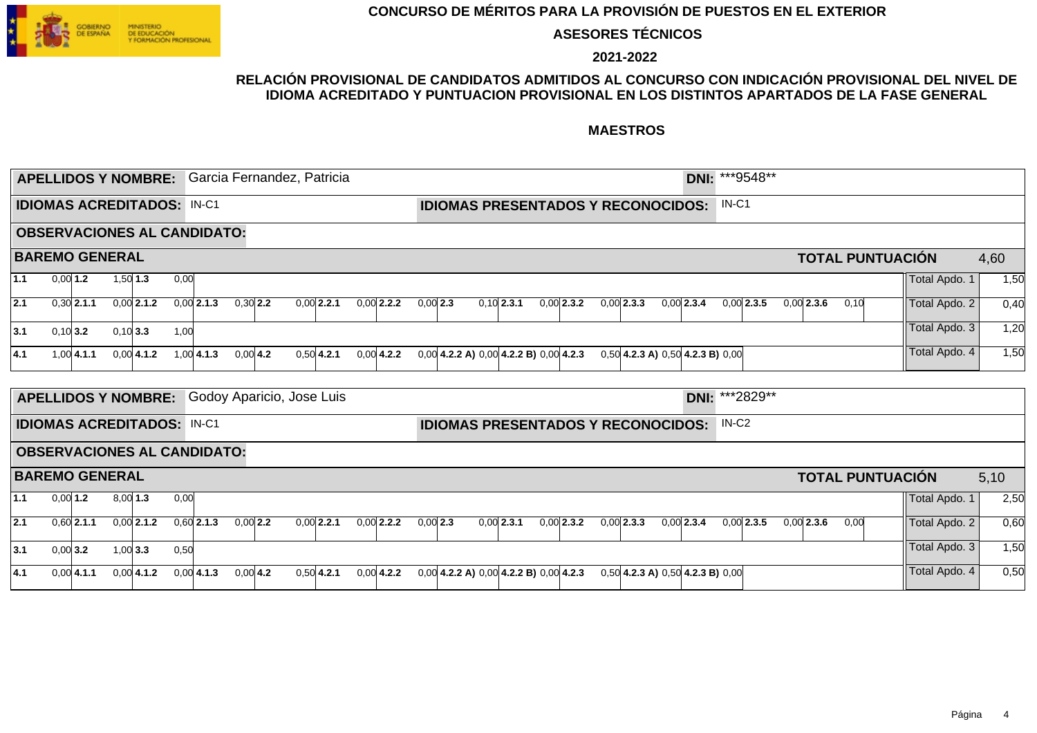

**ASESORES TÉCNICOS**

**2021-2022**

### **RELACIÓN PROVISIONAL DE CANDIDATOS ADMITIDOS AL CONCURSO CON INDICACIÓN PROVISIONAL DEL NIVEL DE IDIOMA ACREDITADO Y PUNTUACION PROVISIONAL EN LOS DISTINTOS APARTADOS DE LA FASE GENERAL**

|     |            | <b>APELLIDOS Y NOMBRE:</b>        |            |              |      |                                    |            | Garcia Fernandez, Patricia |              |            |                                              |              |              |              |                                           | DNI: ***9548**    |              |              |                         |               |      |
|-----|------------|-----------------------------------|------------|--------------|------|------------------------------------|------------|----------------------------|--------------|------------|----------------------------------------------|--------------|--------------|--------------|-------------------------------------------|-------------------|--------------|--------------|-------------------------|---------------|------|
|     |            | <b>IDIOMAS ACREDITADOS: IN-C1</b> |            |              |      |                                    |            |                            |              |            |                                              |              |              |              | <b>IDIOMAS PRESENTADOS Y RECONOCIDOS:</b> | $IN-C1$           |              |              |                         |               |      |
|     |            |                                   |            |              |      | <b>OBSERVACIONES AL CANDIDATO:</b> |            |                            |              |            |                                              |              |              |              |                                           |                   |              |              |                         |               |      |
|     |            | <b>BAREMO GENERAL</b>             |            |              |      |                                    |            |                            |              |            |                                              |              |              |              |                                           |                   |              |              | <b>TOTAL PUNTUACIÓN</b> |               | 4,60 |
| 1.1 | $0,00$ 1.2 |                                   | $1,50$ 1.3 |              | 0,00 |                                    |            |                            |              |            |                                              |              |              |              |                                           |                   |              |              |                         | Total Apdo. 1 | 1,50 |
| 2.1 |            | $0,30$ 2.1.1                      |            | $0,00$ 2.1.2 |      | $0,00$ 2.1.3                       | $0,30$ 2.2 | $0.00$ 2.2.1               | $0.00$ 2.2.2 | $0.00$ 2.3 |                                              | $0,10$ 2.3.1 | $0.00$ 2.3.2 | $0,00$ 2.3.3 | $0.00$ 2.3.4                              |                   | $0.00$ 2.3.5 | $0.00$ 2.3.6 | 0,10                    | Total Apdo. 2 | 0,40 |
| 3.1 |            | 0.1013.2                          | 0.10 3.3   |              | 1,00 |                                    |            |                            |              |            |                                              |              |              |              |                                           |                   |              |              |                         | Total Apdo. 3 | 1,20 |
| 4.1 |            | $1,00$ 4.1.1                      |            | $0,00$ 4.1.2 |      | $1.00 \, 4.1.3$                    | $0,00$ 4.2 | $0,50$ 4.2.1               | $0,00$ 4.2.2 |            | $0,00$ 4.2.2 A) $0,00$ 4.2.2 B) $0,00$ 4.2.3 |              |              |              | $0,50$ 4.2.3 A) $0,50$ 4.2.3 B) $0,00$    |                   |              |              |                         | Total Apdo. 4 | 1,50 |
|     |            |                                   |            |              |      |                                    |            |                            |              |            |                                              |              |              |              |                                           |                   |              |              |                         |               |      |
|     |            | <b>APELLIDOS Y NOMBRE:</b>        |            |              |      |                                    |            | Godoy Aparicio, Jose Luis  |              |            |                                              |              |              |              |                                           | DNI: ***2829**    |              |              |                         |               |      |
|     |            | <b>IDIOMAS ACREDITADOS: IN-C1</b> |            |              |      |                                    |            |                            |              |            |                                              |              |              |              | <b>IDIOMAS PRESENTADOS Y RECONOCIDOS:</b> | IN-C <sub>2</sub> |              |              |                         |               |      |
|     |            |                                   |            |              |      | <b>OBSERVACIONES AL CANDIDATO:</b> |            |                            |              |            |                                              |              |              |              |                                           |                   |              |              |                         |               |      |
|     |            | <b>BAREMO GENERAL</b>             |            |              |      |                                    |            |                            |              |            |                                              |              |              |              |                                           |                   |              |              | <b>TOTAL PUNTUACIÓN</b> |               | 5,10 |
| 1.1 | $0,00$ 1.2 |                                   | $8,00$ 1.3 |              | 0,00 |                                    |            |                            |              |            |                                              |              |              |              |                                           |                   |              |              |                         | Total Apdo. 1 | 2,50 |
| 2.1 |            | $0,60$ 2.1.1                      |            | $0,00$ 2.1.2 |      | $0,60$ 2.1.3                       | $0,00$ 2.2 | $0,00$ 2.2.1               | $0,00$ 2.2.2 | $0,00$ 2.3 |                                              | $0,00$ 2.3.1 | $0,00$ 2.3.2 | $0,00$ 2.3.3 | $0,00$ 2.3.4                              |                   | $0,00$ 2.3.5 | $0,00$ 2.3.6 | 0,00                    | Total Apdo. 2 | 0,60 |
| 3.1 | $0,00$ 3.2 |                                   | $1,00$ 3.3 |              | 0,50 |                                    |            |                            |              |            |                                              |              |              |              |                                           |                   |              |              |                         | Total Apdo. 3 | 1,50 |
| 4.1 |            | $0,00$ 4.1.1                      |            | $0,00$ 4.1.2 |      | $0,00$ 4.1.3                       | $0,00$ 4.2 | $0,50$ 4.2.1               | $0,00$ 4.2.2 |            | $0,00$ 4.2.2 A) $0,00$ 4.2.2 B) $0,00$ 4.2.3 |              |              |              | $0,50$ 4.2.3 A) $0,50$ 4.2.3 B) $0,00$    |                   |              |              |                         | Total Apdo. 4 | 0,50 |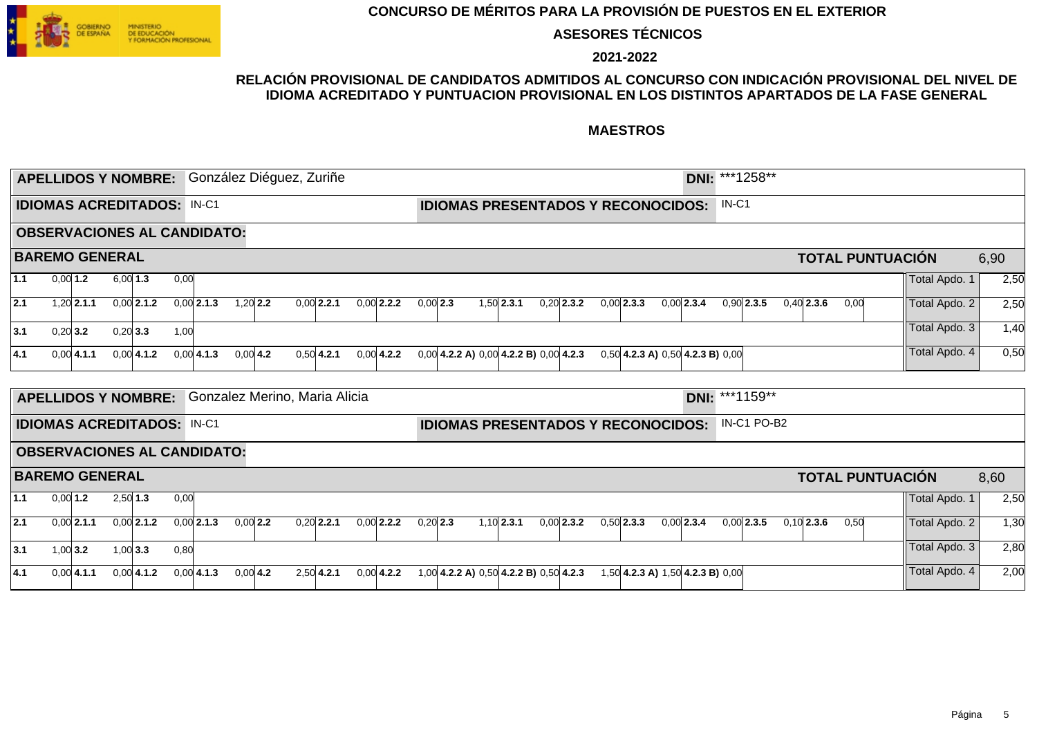

**ASESORES TÉCNICOS**

**2021-2022**

### **RELACIÓN PROVISIONAL DE CANDIDATOS ADMITIDOS AL CONCURSO CON INDICACIÓN PROVISIONAL DEL NIVEL DE IDIOMA ACREDITADO Y PUNTUACION PROVISIONAL EN LOS DISTINTOS APARTADOS DE LA FASE GENERAL**

|                  |            |                                   |            |              |      | APELLIDOS Y NOMBRE: González Diéguez, Zuriñe |             |              |  |              |            |  |                                                             |              |                                        | DNI: ***1258** |              |             |              |      |                         |               |      |
|------------------|------------|-----------------------------------|------------|--------------|------|----------------------------------------------|-------------|--------------|--|--------------|------------|--|-------------------------------------------------------------|--------------|----------------------------------------|----------------|--------------|-------------|--------------|------|-------------------------|---------------|------|
|                  |            | <b>IDIOMAS ACREDITADOS: IN-C1</b> |            |              |      |                                              |             |              |  |              |            |  | <b>IDIOMAS PRESENTADOS Y RECONOCIDOS:</b>                   |              |                                        |                | $IN-C1$      |             |              |      |                         |               |      |
|                  |            |                                   |            |              |      | <b>OBSERVACIONES AL CANDIDATO:</b>           |             |              |  |              |            |  |                                                             |              |                                        |                |              |             |              |      |                         |               |      |
|                  |            | <b>BAREMO GENERAL</b>             |            |              |      |                                              |             |              |  |              |            |  |                                                             |              |                                        |                |              |             |              |      | <b>TOTAL PUNTUACIÓN</b> |               | 6,90 |
| 1.1              | $0,00$ 1.2 |                                   | $6,00$ 1.3 |              | 0,00 |                                              |             |              |  |              |            |  |                                                             |              |                                        |                |              |             |              |      |                         | Total Apdo. 1 | 2,50 |
| $\overline{2.1}$ |            | $1,20$ 2.1.1                      |            | $0,00$ 2.1.2 |      | $0,00$ 2.1.3                                 | $1,20$ 2.2  | $0,00$ 2.2.1 |  | $0,00$ 2.2.2 | $0,00$ 2.3 |  | $1,50$ 2.3.1                                                | $0,20$ 2.3.2 | $0,00$ 2.3.3                           | $0,00$ 2.3.4   | $0.90$ 2.3.5 |             | $0,40$ 2.3.6 | 0,00 |                         | Total Apdo. 2 | 2,50 |
| 3.1              | $0,20$ 3.2 |                                   | $0,20$ 3.3 |              | 1,00 |                                              |             |              |  |              |            |  |                                                             |              |                                        |                |              |             |              |      |                         | Total Apdo. 3 | 1,40 |
| 4.1              |            | $0,00$ 4.1.1                      |            | $0,00$ 4.1.2 |      | $0,00$ 4.1.3                                 | $0,00 $ 4.2 | $0,50$ 4.2.1 |  | $0.00$ 4.2.2 |            |  | $0,00$ 4.2.2 A) $0,00$ 4.2.2 B) $0,00$ 4.2.3                |              | $0,50$ 4.2.3 A) $0,50$ 4.2.3 B) $0,00$ |                |              |             |              |      |                         | Total Apdo. 4 | 0,50 |
|                  |            | <b>APELLIDOS Y NOMBRE:</b>        |            |              |      | Gonzalez Merino, Maria Alicia                |             |              |  |              |            |  |                                                             |              |                                        | DNI: ***1159** |              |             |              |      |                         |               |      |
|                  |            | <b>IDIOMAS ACREDITADOS: IN-C1</b> |            |              |      | <b>OBSERVACIONES AL CANDIDATO:</b>           |             |              |  |              |            |  | <b>IDIOMAS PRESENTADOS Y RECONOCIDOS:</b>                   |              |                                        |                |              | IN-C1 PO-B2 |              |      |                         |               |      |
|                  |            | <b>BAREMO GENERAL</b>             |            |              |      |                                              |             |              |  |              |            |  |                                                             |              |                                        |                |              |             |              |      | <b>TOTAL PUNTUACIÓN</b> |               | 8,60 |
| 1.1              |            | $0,00$ 1.2                        | $2,50$ 1.3 |              | 0,00 |                                              |             |              |  |              |            |  |                                                             |              |                                        |                |              |             |              |      |                         | Total Apdo. 1 | 2,50 |
| 2.1              |            | $0.00$ 2.1.1                      |            | $0,00$ 2.1.2 |      | $0,00$ 2.1.3                                 | $0,00$ 2.2  | $0,20$ 2.2.1 |  | $0,00$ 2.2.2 | $0,20$ 2.3 |  | $1,10$ 2.3.1                                                | $0.00$ 2.3.2 | $0,50$ 2.3.3                           | $0,00$ 2.3.4   | $0.00$ 2.3.5 |             | $0,10$ 2.3.6 | 0,50 |                         | Total Apdo. 2 | 1,30 |
| 3.1              | $1,00$ 3.2 |                                   | $1,00$ 3.3 |              | 0,80 |                                              |             |              |  |              |            |  |                                                             |              |                                        |                |              |             |              |      |                         | Total Apdo. 3 | 2,80 |
| 4.1              |            | 0.0014.1.1                        |            | $0.00$ 4.1.2 |      | $0,00$ 4.1.3                                 | $0,00$ 4.2  | $2,50$ 4.2.1 |  | $0.00$ 4.2.2 |            |  | 1,00 <b>4.2.2 A)</b> 0,50 <b>4.2.2 B)</b> 0,50 <b>4.2.3</b> |              | 1,50 4.2.3 A) 1,50 4.2.3 B) 0,00       |                |              |             |              |      |                         | Total Apdo. 4 | 2,00 |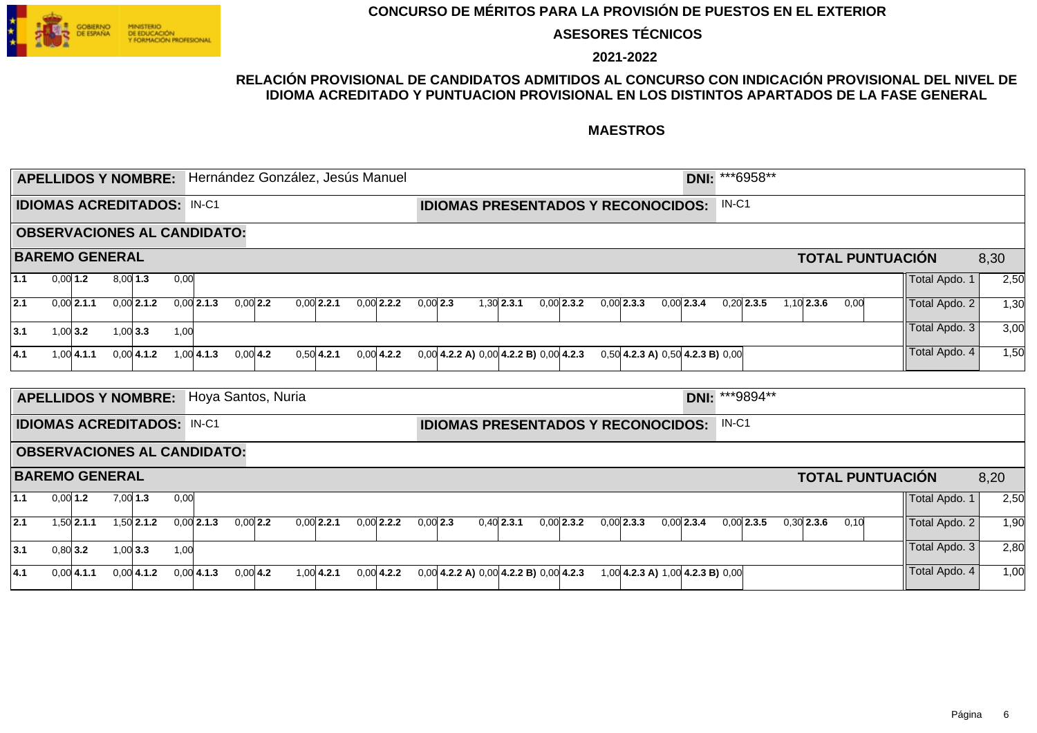

**ASESORES TÉCNICOS**

**2021-2022**

### **RELACIÓN PROVISIONAL DE CANDIDATOS ADMITIDOS AL CONCURSO CON INDICACIÓN PROVISIONAL DEL NIVEL DE IDIOMA ACREDITADO Y PUNTUACION PROVISIONAL EN LOS DISTINTOS APARTADOS DE LA FASE GENERAL**

|                  |            | <b>APELLIDOS Y NOMBRE:</b>        |            |               |      | Hernández González, Jesús Manuel   |            |  |              |              |            |  |                                              |              |              |                                        | DNI: ***6958** |              |  |              |                         |               |      |
|------------------|------------|-----------------------------------|------------|---------------|------|------------------------------------|------------|--|--------------|--------------|------------|--|----------------------------------------------|--------------|--------------|----------------------------------------|----------------|--------------|--|--------------|-------------------------|---------------|------|
|                  |            | <b>IDIOMAS ACREDITADOS: IN-C1</b> |            |               |      |                                    |            |  |              |              |            |  | <b>IDIOMAS PRESENTADOS Y RECONOCIDOS:</b>    |              |              |                                        |                | $IN-C1$      |  |              |                         |               |      |
|                  |            |                                   |            |               |      | <b>OBSERVACIONES AL CANDIDATO:</b> |            |  |              |              |            |  |                                              |              |              |                                        |                |              |  |              |                         |               |      |
|                  |            | <b>BAREMO GENERAL</b>             |            |               |      |                                    |            |  |              |              |            |  |                                              |              |              |                                        |                |              |  |              | <b>TOTAL PUNTUACIÓN</b> |               | 8,30 |
| 1.1              | $0,00$ 1.2 |                                   | $8,00$ 1.3 |               | 0,00 |                                    |            |  |              |              |            |  |                                              |              |              |                                        |                |              |  |              |                         | Total Apdo. 1 | 2,50 |
| $\overline{2.1}$ |            | $0,00$ 2.1.1                      |            | $0,00$ 2.1.2  |      | $0,00$ 2.1.3                       | $0,00$ 2.2 |  | $0,00$ 2.2.1 | $0,00$ 2.2.2 | $0,00$ 2.3 |  | $1,30$ 2.3.1                                 | $0.00$ 2.3.2 | $0,00$ 2.3.3 | $0.00$ 2.3.4                           |                | $0,20$ 2.3.5 |  | $1,10$ 2.3.6 | 0,00                    | Total Apdo. 2 | 1,30 |
| 3.1              | $1,00$ 3.2 |                                   | $1,00$ 3.3 |               | 1,00 |                                    |            |  |              |              |            |  |                                              |              |              |                                        |                |              |  |              |                         | Total Apdo. 3 | 3,00 |
| 4.1              |            | $1,00$ 4.1.1                      |            | $0.00 $ 4.1.2 |      | $1,00$ 4.1.3                       | $0,00$ 4.2 |  | $0,50$ 4.2.1 | $0,00$ 4.2.2 |            |  | $0,00$ 4.2.2 A) $0,00$ 4.2.2 B) $0,00$ 4.2.3 |              |              | $0,50$ 4.2.3 A) $0,50$ 4.2.3 B) $0,00$ |                |              |  |              |                         | Total Apdo. 4 | 1,50 |
|                  |            |                                   |            |               |      | Hoya Santos, Nuria                 |            |  |              |              |            |  |                                              |              |              |                                        | DNI: ***9894** |              |  |              |                         |               |      |
|                  |            | <b>APELLIDOS Y NOMBRE:</b>        |            |               |      |                                    |            |  |              |              |            |  |                                              |              |              |                                        |                |              |  |              |                         |               |      |
|                  |            | <b>IDIOMAS ACREDITADOS: IN-C1</b> |            |               |      |                                    |            |  |              |              |            |  | <b>IDIOMAS PRESENTADOS Y RECONOCIDOS:</b>    |              |              |                                        |                | $IN-C1$      |  |              |                         |               |      |
|                  |            |                                   |            |               |      | <b>OBSERVACIONES AL CANDIDATO:</b> |            |  |              |              |            |  |                                              |              |              |                                        |                |              |  |              |                         |               |      |
|                  |            | <b>BAREMO GENERAL</b>             |            |               |      |                                    |            |  |              |              |            |  |                                              |              |              |                                        |                |              |  |              | <b>TOTAL PUNTUACIÓN</b> |               | 8,20 |
| $1.1$            |            | $0,00$ 1.2                        | $7,00$ 1.3 |               | 0,00 |                                    |            |  |              |              |            |  |                                              |              |              |                                        |                |              |  |              |                         | Total Apdo. 1 | 2,50 |
| 2.1              |            | $1,50$ 2.1.1                      |            | $1,50$ 2.1.2  |      | $0,00$ 2.1.3                       | $0,00$ 2.2 |  | $0,00$ 2.2.1 | $0,00$ 2.2.2 | $0,00$ 2.3 |  | $0.40$ 2.3.1                                 | $0.00$ 2.3.2 | $0,00$ 2.3.3 | $0.00$ 2.3.4                           |                | $0.00$ 2.3.5 |  | $0,30$ 2.3.6 | 0,10                    | Total Apdo. 2 | 1,90 |
| 3.1              | $0,80$ 3.2 |                                   | $1,00$ 3.3 |               | 1,00 |                                    |            |  |              |              |            |  |                                              |              |              |                                        |                |              |  |              |                         | Total Apdo. 3 | 2,80 |
| 4.1              |            | 0.0014.1.1                        |            | $0.00$ 4.1.2  |      | $0,00$ 4.1.3                       | $0,00$ 4.2 |  | $1,00$ 4.2.1 | $0.00$ 4.2.2 |            |  | $0.00$ 4.2.2 A) $0.00$ 4.2.2 B) $0.00$ 4.2.3 |              |              | 1,00 4.2.3 A) 1,00 4.2.3 B) 0,00       |                |              |  |              |                         | Total Apdo. 4 | 1,00 |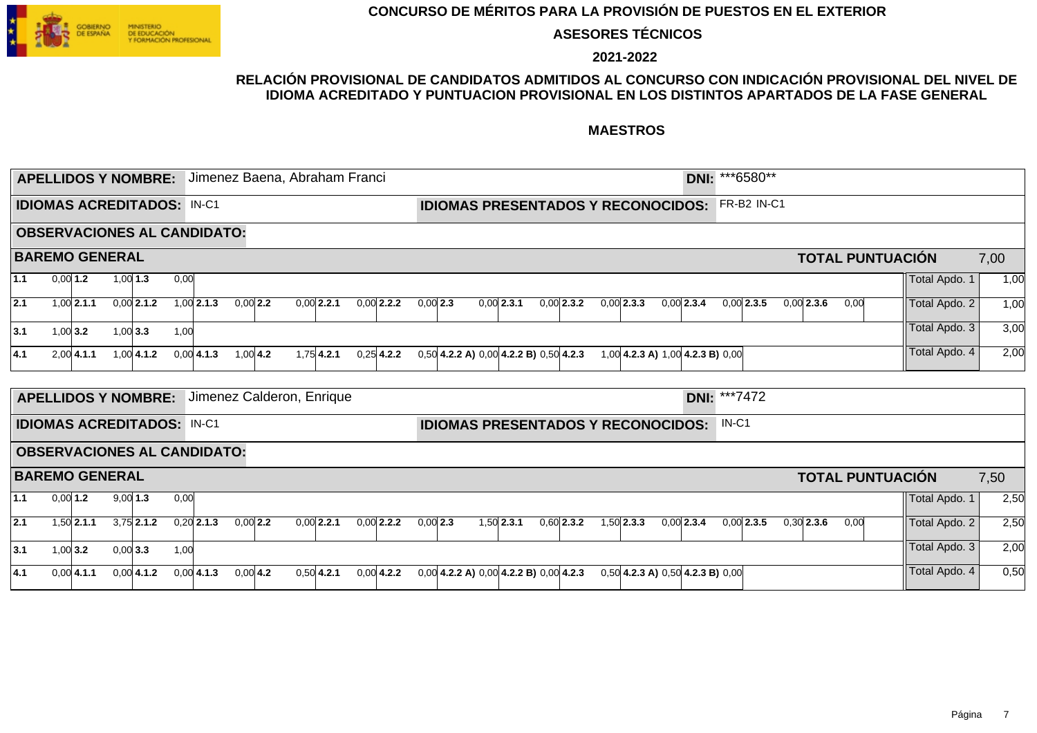

**ASESORES TÉCNICOS**

**2021-2022**

### **RELACIÓN PROVISIONAL DE CANDIDATOS ADMITIDOS AL CONCURSO CON INDICACIÓN PROVISIONAL DEL NIVEL DE IDIOMA ACREDITADO Y PUNTUACION PROVISIONAL EN LOS DISTINTOS APARTADOS DE LA FASE GENERAL**

|       |            | <b>APELLIDOS Y NOMBRE:</b>        |            |              |      | Jimenez Baena, Abraham Franci      |            |  |              |              |            |                                              |              |              |              |                                           | DNI: ***6580**      |              |                         |               |      |
|-------|------------|-----------------------------------|------------|--------------|------|------------------------------------|------------|--|--------------|--------------|------------|----------------------------------------------|--------------|--------------|--------------|-------------------------------------------|---------------------|--------------|-------------------------|---------------|------|
|       |            | <b>IDIOMAS ACREDITADOS: IN-C1</b> |            |              |      |                                    |            |  |              |              |            |                                              |              |              |              | <b>IDIOMAS PRESENTADOS Y RECONOCIDOS:</b> | FR-B2 IN-C1         |              |                         |               |      |
|       |            |                                   |            |              |      | <b>OBSERVACIONES AL CANDIDATO:</b> |            |  |              |              |            |                                              |              |              |              |                                           |                     |              |                         |               |      |
|       |            | <b>BAREMO GENERAL</b>             |            |              |      |                                    |            |  |              |              |            |                                              |              |              |              |                                           |                     |              | <b>TOTAL PUNTUACIÓN</b> |               | 7,00 |
| 1.1   | $0,00$ 1.2 |                                   | $1,00$ 1.3 |              | 0,00 |                                    |            |  |              |              |            |                                              |              |              |              |                                           |                     |              |                         | Total Apdo. 1 | 1,00 |
| 2.1   |            | $1,00$ 2.1.1                      |            | $0,00$ 2.1.2 |      | $1,00$ 2.1.3                       | $0,00$ 2.2 |  | $0,00$ 2.2.1 | $0,00$ 2.2.2 | $0,00$ 2.3 |                                              | $0,00$ 2.3.1 | $0.00$ 2.3.2 | $0,00$ 2.3.3 | $0,00$ 2.3.4                              | $0,00$ 2.3.5        | $0.00$ 2.3.6 | 0,00                    | Total Apdo. 2 | 1,00 |
| 3.1   | $1,00$ 3.2 |                                   | $1,00$ 3.3 |              | 1,00 |                                    |            |  |              |              |            |                                              |              |              |              |                                           |                     |              |                         | Total Apdo. 3 | 3,00 |
| 4.1   |            | $2,00$ 4.1.1                      |            | $1,00$ 4.1.2 |      | $0,00$ 4.1.3                       | $1,00$ 4.2 |  | $1.75$ 4.2.1 | $0,25$ 4.2.2 |            | $0,50$ 4.2.2 A) $0,00$ 4.2.2 B) $0,50$ 4.2.3 |              |              |              | 1,00 4.2.3 A) 1,00 4.2.3 B) 0,00          |                     |              |                         | Total Apdo. 4 | 2,00 |
|       |            |                                   |            |              |      |                                    |            |  |              |              |            |                                              |              |              |              |                                           |                     |              |                         |               |      |
|       |            | <b>APELLIDOS Y NOMBRE:</b>        |            |              |      | Jimenez Calderon, Enrique          |            |  |              |              |            |                                              |              |              |              |                                           | <b>DNI: ***7472</b> |              |                         |               |      |
|       |            | <b>IDIOMAS ACREDITADOS: IN-C1</b> |            |              |      |                                    |            |  |              |              |            |                                              |              |              |              | <b>IDIOMAS PRESENTADOS Y RECONOCIDOS:</b> | $IN-C1$             |              |                         |               |      |
|       |            |                                   |            |              |      | <b>OBSERVACIONES AL CANDIDATO:</b> |            |  |              |              |            |                                              |              |              |              |                                           |                     |              |                         |               |      |
|       |            | <b>BAREMO GENERAL</b>             |            |              |      |                                    |            |  |              |              |            |                                              |              |              |              |                                           |                     |              | <b>TOTAL PUNTUACIÓN</b> |               | 7,50 |
| $1.1$ | $0,00$ 1.2 |                                   | $9,00$ 1.3 |              | 0,00 |                                    |            |  |              |              |            |                                              |              |              |              |                                           |                     |              |                         | Total Apdo. 1 | 2,50 |
| 2.1   |            | $1,50$ 2.1.1                      |            | $3,75$ 2.1.2 |      | $0,20$ 2.1.3                       | $0,00$ 2.2 |  | $0.00$ 2.2.1 | $0,00$ 2.2.2 | $0,00$ 2.3 |                                              | $1,50$ 2.3.1 | $0,60$ 2.3.2 | $1,50$ 2.3.3 | $0.00$ 2.3.4                              | $0.00$ 2.3.5        | $0,30$ 2.3.6 | 0,00                    | Total Apdo. 2 | 2,50 |
| 3.1   | $1,00$ 3.2 |                                   | $0,00$ 3.3 |              | 1,00 |                                    |            |  |              |              |            |                                              |              |              |              |                                           |                     |              |                         | Total Apdo. 3 | 2,00 |
| 4.1   |            | $0,00$ 4.1.1                      |            | $0,00$ 4.1.2 |      | $0,00$ 4.1.3                       | $0,00$ 4.2 |  | $0,50$ 4.2.1 | $0,00$ 4.2.2 |            | $0,00$ 4.2.2 A) $0,00$ 4.2.2 B) $0,00$ 4.2.3 |              |              |              | $0,50$ 4.2.3 A) $0,50$ 4.2.3 B) $0,00$    |                     |              |                         | Total Apdo. 4 | 0,50 |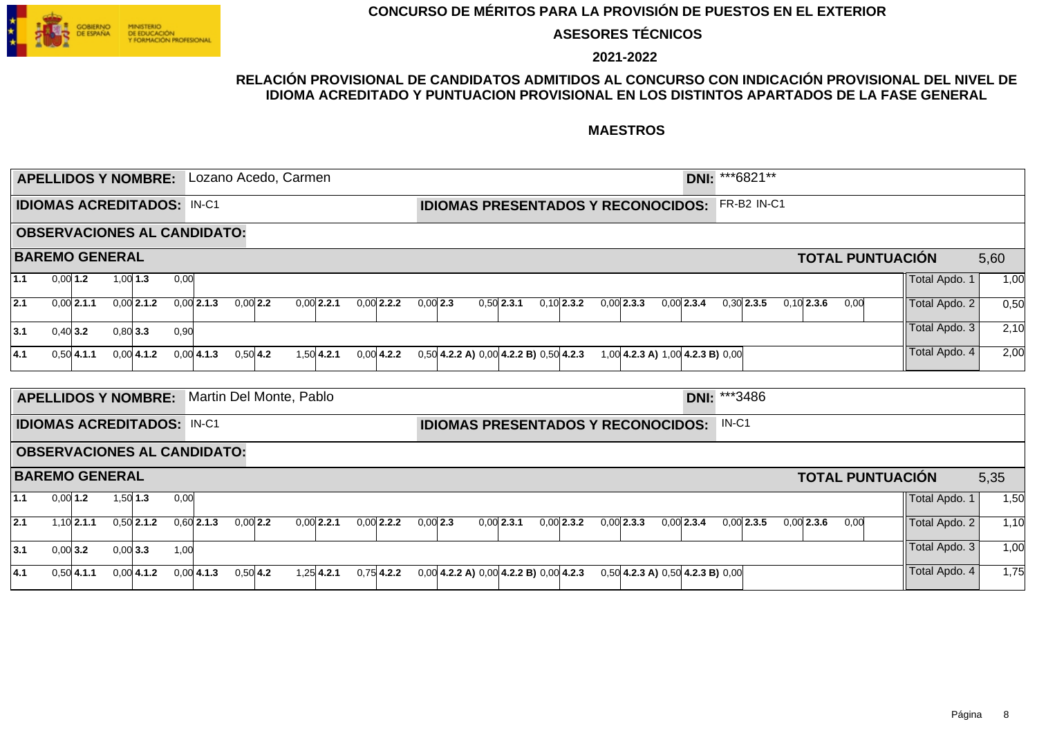

**ASESORES TÉCNICOS**

**2021-2022**

### **RELACIÓN PROVISIONAL DE CANDIDATOS ADMITIDOS AL CONCURSO CON INDICACIÓN PROVISIONAL DEL NIVEL DE IDIOMA ACREDITADO Y PUNTUACION PROVISIONAL EN LOS DISTINTOS APARTADOS DE LA FASE GENERAL**

|     |            | <b>APELLIDOS Y NOMBRE:</b>        |            |              |      | Lozano Acedo, Carmen               |            |  |              |              |            |                                              |              |              |                                        |              |              |              | DNI: ***6821** |              |      |                         |               |      |
|-----|------------|-----------------------------------|------------|--------------|------|------------------------------------|------------|--|--------------|--------------|------------|----------------------------------------------|--------------|--------------|----------------------------------------|--------------|--------------|--------------|----------------|--------------|------|-------------------------|---------------|------|
|     |            |                                   |            |              |      |                                    |            |  |              |              |            |                                              |              |              |                                        |              |              |              |                |              |      |                         |               |      |
|     |            | <b>IDIOMAS ACREDITADOS: IN-C1</b> |            |              |      |                                    |            |  |              |              |            | <b>IDIOMAS PRESENTADOS Y RECONOCIDOS:</b>    |              |              |                                        |              |              |              | FR-B2 IN-C1    |              |      |                         |               |      |
|     |            |                                   |            |              |      | <b>OBSERVACIONES AL CANDIDATO:</b> |            |  |              |              |            |                                              |              |              |                                        |              |              |              |                |              |      |                         |               |      |
|     |            | <b>BAREMO GENERAL</b>             |            |              |      |                                    |            |  |              |              |            |                                              |              |              |                                        |              |              |              |                |              |      | <b>TOTAL PUNTUACIÓN</b> |               | 5,60 |
| 1.1 | $0,00$ 1.2 |                                   | $1,00$ 1.3 |              | 0,00 |                                    |            |  |              |              |            |                                              |              |              |                                        |              |              |              |                |              |      |                         | Total Apdo. 1 | 1,00 |
| 2.1 |            | $0,00$ 2.1.1                      |            | $0,00$ 2.1.2 |      | $0,00$ 2.1.3                       | $0,00$ 2.2 |  | $0,00$ 2.2.1 | $0,00$ 2.2.2 | $0,00$ 2.3 |                                              | $0,50$ 2.3.1 | $0,10$ 2.3.2 | $0,00$ 2.3.3                           | $0,00$ 2.3.4 |              | $0.30$ 2.3.5 |                | $0,10$ 2.3.6 | 0,00 |                         | Total Apdo. 2 | 0,50 |
| 3.1 | $0,40$ 3.2 |                                   | $0,80$ 3.3 |              | 0,90 |                                    |            |  |              |              |            |                                              |              |              |                                        |              |              |              |                |              |      |                         | Total Apdo. 3 | 2,10 |
| 4.1 |            | $0.50$ 4.1.1                      |            | 0.0014.1.2   |      | $0.00 $ 4.1.3                      | $0,50$ 4.2 |  | $1,50$ 4.2.1 | $0,00$ 4.2.2 |            | $0,50$ 4.2.2 A) $0,00$ 4.2.2 B) $0,50$ 4.2.3 |              |              | 1,00 4.2.3 A) 1,00 4.2.3 B) 0,00       |              |              |              |                |              |      |                         | Total Apdo. 4 | 2,00 |
|     |            |                                   |            |              |      |                                    |            |  |              |              |            |                                              |              |              |                                        |              |              |              |                |              |      |                         |               |      |
|     |            | <b>APELLIDOS Y NOMBRE:</b>        |            |              |      | Martin Del Monte, Pablo            |            |  |              |              |            |                                              |              |              |                                        |              | DNI: ***3486 |              |                |              |      |                         |               |      |
|     |            | <b>IDIOMAS ACREDITADOS:</b>       |            |              |      | $IN-C1$                            |            |  |              |              |            | <b>IDIOMAS PRESENTADOS Y RECONOCIDOS:</b>    |              |              |                                        |              |              | $IN-C1$      |                |              |      |                         |               |      |
|     |            |                                   |            |              |      | <b>OBSERVACIONES AL CANDIDATO:</b> |            |  |              |              |            |                                              |              |              |                                        |              |              |              |                |              |      |                         |               |      |
|     |            | <b>BAREMO GENERAL</b>             |            |              |      |                                    |            |  |              |              |            |                                              |              |              |                                        |              |              |              |                |              |      | <b>TOTAL PUNTUACIÓN</b> |               | 5,35 |
| 1.1 | $0,00$ 1.2 |                                   | $1,50$ 1.3 |              | 0,00 |                                    |            |  |              |              |            |                                              |              |              |                                        |              |              |              |                |              |      |                         | Total Apdo. 1 | 1,50 |
| 2.1 |            | $1,10$ 2.1.1                      |            | $0,50$ 2.1.2 |      | $0,60$ 2.1.3                       | $0,00$ 2.2 |  | $0,00$ 2.2.1 | $0,00$ 2.2.2 | $0,00$ 2.3 |                                              | $0.00$ 2.3.1 | $0,00$ 2.3.2 | $0,00$ 2.3.3                           | $0,00$ 2.3.4 |              | $0.00$ 2.3.5 |                | $0,00$ 2.3.6 | 0,00 |                         | Total Apdo. 2 | 1,10 |
| 3.1 | $0,00$ 3.2 |                                   | 0,00 3.3   |              | 1,00 |                                    |            |  |              |              |            |                                              |              |              |                                        |              |              |              |                |              |      |                         | Total Apdo. 3 | 1,00 |
| 4.1 |            | $0.50$ 4.1.1                      |            | $0.00$ 4.1.2 |      | $0,00$ 4.1.3                       | $0,50$ 4.2 |  | $1.25$ 4.2.1 | $0,75$ 4.2.2 |            | $0,00$ 4.2.2 A) $0,00$ 4.2.2 B) $0,00$ 4.2.3 |              |              | $0,50$ 4.2.3 A) $0,50$ 4.2.3 B) $0,00$ |              |              |              |                |              |      |                         | Total Apdo. 4 | 1,75 |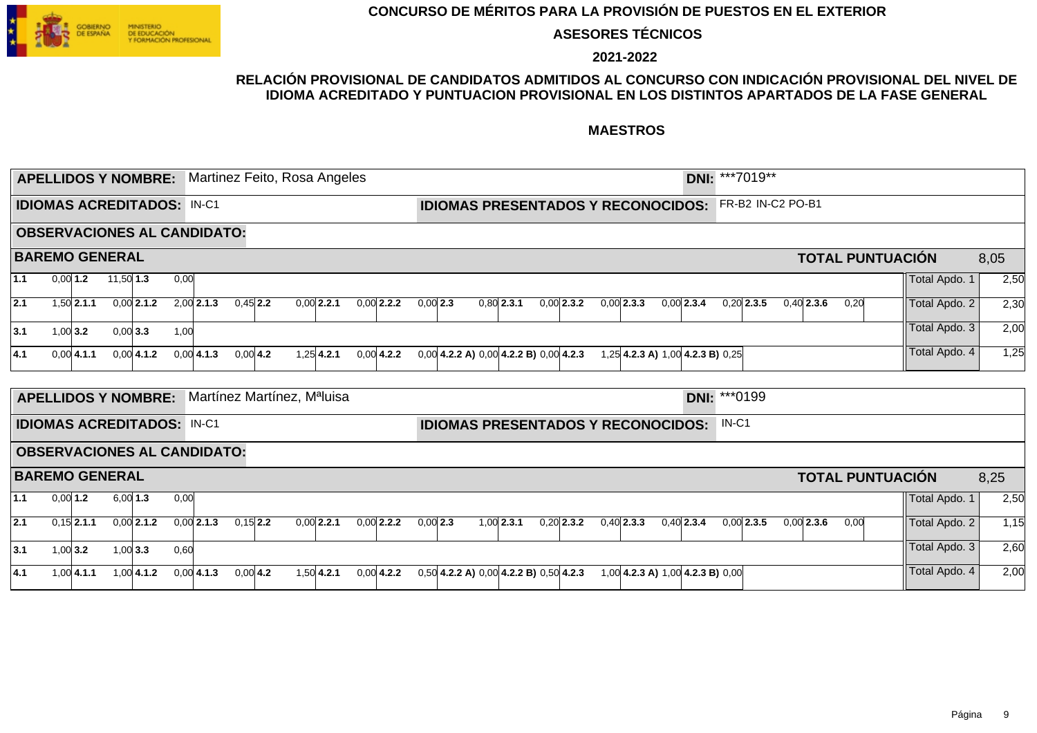

**ASESORES TÉCNICOS**

**2021-2022**

### **RELACIÓN PROVISIONAL DE CANDIDATOS ADMITIDOS AL CONCURSO CON INDICACIÓN PROVISIONAL DEL NIVEL DE IDIOMA ACREDITADO Y PUNTUACION PROVISIONAL EN LOS DISTINTOS APARTADOS DE LA FASE GENERAL**

|     |            |                | <b>APELLIDOS Y NOMBRE:</b>        |              |      | Martinez Feito, Rosa Angeles            |            |              |              |            |  |                                              |              |              |                                           | DNI: ***7019** |              |                   |                         |               |      |
|-----|------------|----------------|-----------------------------------|--------------|------|-----------------------------------------|------------|--------------|--------------|------------|--|----------------------------------------------|--------------|--------------|-------------------------------------------|----------------|--------------|-------------------|-------------------------|---------------|------|
|     |            |                | <b>IDIOMAS ACREDITADOS: IN-C1</b> |              |      |                                         |            |              |              |            |  |                                              |              |              | <b>IDIOMAS PRESENTADOS Y RECONOCIDOS:</b> |                |              | FR-B2 IN-C2 PO-B1 |                         |               |      |
|     |            |                |                                   |              |      | <b>OBSERVACIONES AL CANDIDATO:</b>      |            |              |              |            |  |                                              |              |              |                                           |                |              |                   |                         |               |      |
|     |            |                | <b>BAREMO GENERAL</b>             |              |      |                                         |            |              |              |            |  |                                              |              |              |                                           |                |              |                   | <b>TOTAL PUNTUACIÓN</b> |               | 8,05 |
| 1.1 |            | $0,00$ 1.2     | $11,50$ 1.3                       |              | 0.00 |                                         |            |              |              |            |  |                                              |              |              |                                           |                |              |                   |                         | Total Apdo. 1 | 2,50 |
| 2.1 |            | $1,50$ 2.1.1   |                                   | $0,00$ 2.1.2 |      | $2,00$ 2.1.3                            | $0.45$ 2.2 | $0.00$ 2.2.1 | $0,00$ 2.2.2 | $0,00$ 2.3 |  | $0.80$ 2.3.1                                 | $0,00$ 2.3.2 | $0,00$ 2.3.3 | $0,00$ 2.3.4                              |                | $0,20$ 2.3.5 | $0,40$ 2.3.6      | 0,20                    | Total Apdo. 2 | 2,30 |
| 3.1 | $1,00$ 3.2 |                | $0,00$ 3.3                        |              | 1,00 |                                         |            |              |              |            |  |                                              |              |              |                                           |                |              |                   |                         | Total Apdo. 3 | 2,00 |
| 4.1 |            | $0,00$ 4.1.1   |                                   | $0,00$ 4.1.2 |      | $0,00$ 4.1.3                            | $0,00$ 4.2 | $1,25$ 4.2.1 | $0.00$ 4.2.2 |            |  | $0,00$ 4.2.2 A) $0,00$ 4.2.2 B) $0,00$ 4.2.3 |              |              | 1,25 4.2.3 A) 1,00 4.2.3 B) 0,25          |                |              |                   |                         | Total Apdo. 4 | 1,25 |
|     |            |                |                                   |              |      |                                         |            |              |              |            |  |                                              |              |              |                                           |                |              |                   |                         |               |      |
|     |            |                | <b>APELLIDOS Y NOMBRE:</b>        |              |      | Martínez Martínez, M <sup>a</sup> luisa |            |              |              |            |  |                                              |              |              |                                           | DNI: *** 0199  |              |                   |                         |               |      |
|     |            |                | <b>IDIOMAS ACREDITADOS: IN-C1</b> |              |      |                                         |            |              |              |            |  |                                              |              |              | <b>IDIOMAS PRESENTADOS Y RECONOCIDOS:</b> | $IN-C1$        |              |                   |                         |               |      |
|     |            |                |                                   |              |      | <b>OBSERVACIONES AL CANDIDATO:</b>      |            |              |              |            |  |                                              |              |              |                                           |                |              |                   |                         |               |      |
|     |            |                | <b>BAREMO GENERAL</b>             |              |      |                                         |            |              |              |            |  |                                              |              |              |                                           |                |              |                   | <b>TOTAL PUNTUACIÓN</b> |               | 8,25 |
| 1.1 | $0,00$ 1.2 |                | $6,00$ 1.3                        |              | 0,00 |                                         |            |              |              |            |  |                                              |              |              |                                           |                |              |                   |                         | Total Apdo. 1 | 2,50 |
| 2.1 |            | $0,15$   2.1.1 |                                   | $0.00$ 2.1.2 |      | $0,00$ 2.1.3                            | $0,15$ 2.2 | $0.00$ 2.2.1 | $0.00$ 2.2.2 | $0,00$ 2.3 |  | $1,00$ 2.3.1                                 | $0,20$ 2.3.2 | $0,40$ 2.3.3 | $0,40$ 2.3.4                              |                | $0.00$ 2.3.5 | $0.00$ 2.3.6      | 0,00                    | Total Apdo. 2 | 1,15 |
| 3.1 | $1,00$ 3.2 |                | $1,00$ 3.3                        |              | 0,60 |                                         |            |              |              |            |  |                                              |              |              |                                           |                |              |                   |                         | Total Apdo. 3 | 2,60 |
| 4.1 |            | $1,00$ 4.1.1   |                                   | $1.00$ 4.1.2 |      | $0,00$ 4.1.3                            | $0,00$ 4.2 | $1,50$ 4.2.1 | $0.00$ 4.2.2 |            |  | $0,50$ 4.2.2 A) $0,00$ 4.2.2 B) $0,50$ 4.2.3 |              |              | 1,00 4.2.3 A) 1,00 4.2.3 B) 0,00          |                |              |                   |                         | Total Apdo. 4 | 2,00 |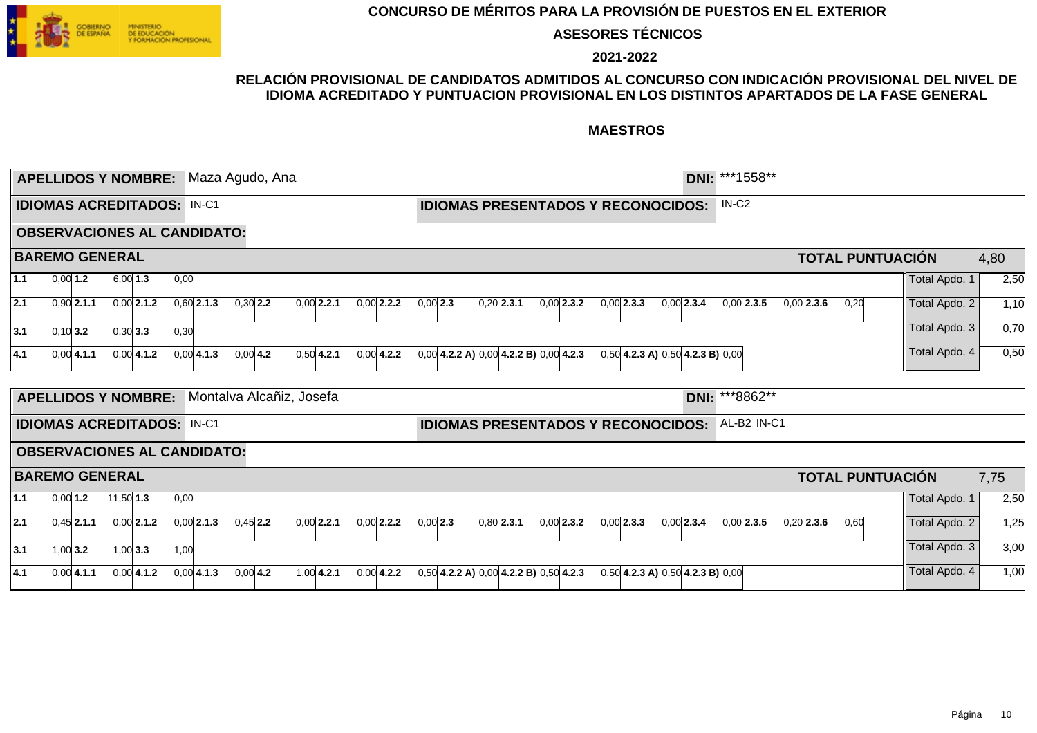

**ASESORES TÉCNICOS**

**2021-2022**

### **RELACIÓN PROVISIONAL DE CANDIDATOS ADMITIDOS AL CONCURSO CON INDICACIÓN PROVISIONAL DEL NIVEL DE IDIOMA ACREDITADO Y PUNTUACION PROVISIONAL EN LOS DISTINTOS APARTADOS DE LA FASE GENERAL**

|     | <b>APELLIDOS Y NOMBRE:</b>        |              |             |              |      | Maza Agudo, Ana                    |             |              |              |              |               |            |  |              |                                              |              |                                           | DNI: ***1558**    |              |              |              |      |                         |               |      |
|-----|-----------------------------------|--------------|-------------|--------------|------|------------------------------------|-------------|--------------|--------------|--------------|---------------|------------|--|--------------|----------------------------------------------|--------------|-------------------------------------------|-------------------|--------------|--------------|--------------|------|-------------------------|---------------|------|
|     | <b>IDIOMAS ACREDITADOS: IN-C1</b> |              |             |              |      |                                    |             |              |              |              |               |            |  |              |                                              |              | <b>IDIOMAS PRESENTADOS Y RECONOCIDOS:</b> | IN-C <sub>2</sub> |              |              |              |      |                         |               |      |
|     |                                   |              |             |              |      | <b>OBSERVACIONES AL CANDIDATO:</b> |             |              |              |              |               |            |  |              |                                              |              |                                           |                   |              |              |              |      |                         |               |      |
|     | <b>BAREMO GENERAL</b>             |              |             |              |      |                                    |             |              |              |              |               |            |  |              |                                              |              |                                           |                   |              |              |              |      | <b>TOTAL PUNTUACIÓN</b> |               | 4,80 |
| 1.1 | $0,00$ 1.2                        |              | 6.0013      |              | 0,00 |                                    |             |              |              |              |               |            |  |              |                                              |              |                                           |                   |              |              |              |      |                         | Total Apdo. 1 | 2,50 |
| 2.1 |                                   | $0,90$ 2.1.1 |             | $0,00$ 2.1.2 |      | $0,60$ 2.1.3                       | $0,30$ 2.2  | $0,00$ 2.2.1 |              | $0.00$ 2.2.2 |               | $0,00$ 2.3 |  | $0.20$ 2.3.1 | 0.00 2.3.2                                   | $0.00$ 2.3.3 | $0.00$ 2.3.4                              |                   | $0.00$ 2.3.5 |              | $0.00$ 2.3.6 | 0,20 |                         | Total Apdo. 2 | 1,10 |
| 3.1 | $0,10$ 3.2                        |              | $0,30$ 3.3  |              | 0,30 |                                    |             |              |              |              |               |            |  |              |                                              |              |                                           |                   |              |              |              |      |                         | Total Apdo. 3 | 0,70 |
| 4.1 |                                   | $0,00$ 4.1.1 |             | 0.0014.1.2   |      | 0.0014.1.3                         | $0.00 $ 4.2 |              | $0.50$ 4.2.1 |              | $0.00 $ 4.2.2 |            |  |              | $0,00$ 4.2.2 A) $0,00$ 4.2.2 B) $0,00$ 4.2.3 |              | $0,50$ 4.2.3 A) $0,50$ 4.2.3 B) $0,00$    |                   |              |              |              |      |                         | Total Apdo. 4 | 0,50 |
|     | <b>APELLIDOS Y NOMBRE:</b>        |              |             |              |      | Montalva Alcañiz, Josefa           |             |              |              |              |               |            |  |              |                                              |              |                                           | DNI: ***8862**    |              |              |              |      |                         |               |      |
|     | <b>IDIOMAS ACREDITADOS: IN-C1</b> |              |             |              |      |                                    |             |              |              |              |               |            |  |              |                                              |              | <b>IDIOMAS PRESENTADOS Y RECONOCIDOS:</b> | AL-B2 IN-C1       |              |              |              |      |                         |               |      |
|     |                                   |              |             |              |      | <b>OBSERVACIONES AL CANDIDATO:</b> |             |              |              |              |               |            |  |              |                                              |              |                                           |                   |              |              |              |      |                         |               |      |
|     | <b>BAREMO GENERAL</b>             |              |             |              |      |                                    |             |              |              |              |               |            |  |              |                                              |              |                                           |                   |              |              |              |      | <b>TOTAL PUNTUACIÓN</b> |               | 7,75 |
| 1.1 | $0,00$ 1.2                        |              | $11,50$ 1.3 |              | 0,00 |                                    |             |              |              |              |               |            |  |              |                                              |              |                                           |                   |              |              |              |      |                         | Total Apdo. 1 | 2,50 |
| 2.1 |                                   | $0.45$ 2.1.1 |             | $0,00$ 2.1.2 |      | $0,00$ 2.1.3                       | $0.45$ 2.2  | $0.00$ 2.2.1 |              | $0.00$ 2.2.2 |               | $0,00$ 2.3 |  | $0.80$ 2.3.1 | $0.00$ 2.3.2                                 | $0.00$ 2.3.3 | $0.00$ 2.3.4                              |                   | $0.00$ 2.3.5 | $0,20$ 2.3.6 |              | 0,60 |                         | Total Apdo. 2 | 1,25 |
| 3.1 | $1,00$ 3.2                        |              | $1,00$ 3.3  |              | 1,00 |                                    |             |              |              |              |               |            |  |              |                                              |              |                                           |                   |              |              |              |      |                         | Total Apdo. 3 | 3,00 |
| 4.1 |                                   | $0,00$ 4.1.1 |             | 0.0014.1.2   |      | 0.0014.1.3                         | $0,00$ 4.2  |              | $1,00$ 4.2.1 | $0.00$ 4.2.2 |               |            |  |              | $0,50$ 4.2.2 A) $0,00$ 4.2.2 B) $0,50$ 4.2.3 |              | $0,50$ 4.2.3 A) $0,50$ 4.2.3 B) $0,00$    |                   |              |              |              |      |                         | Total Apdo. 4 | 1,00 |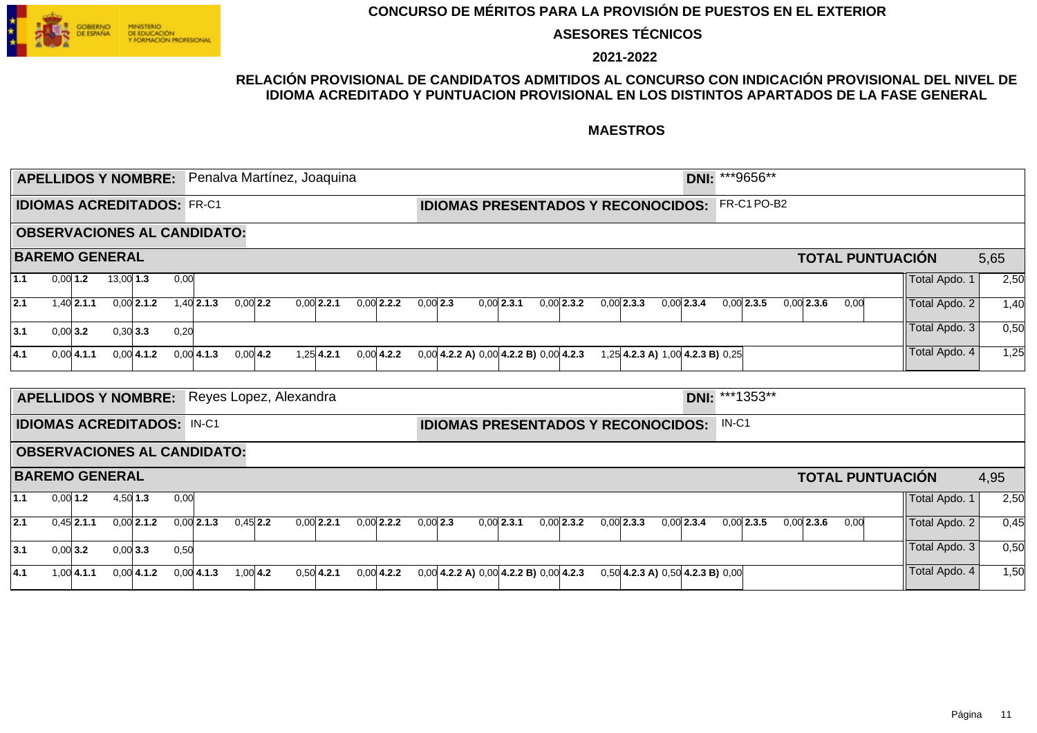

**ASESORES TÉCNICOS**

**2021-2022**

### **RELACIÓN PROVISIONAL DE CANDIDATOS ADMITIDOS AL CONCURSO CON INDICACIÓN PROVISIONAL DEL NIVEL DE IDIOMA ACREDITADO Y PUNTUACION PROVISIONAL EN LOS DISTINTOS APARTADOS DE LA FASE GENERAL**

|       |          |                |                            |              |                                   |                                    |            | <b>APELLIDOS Y NOMBRE:</b> Penalva Martínez, Joaquina |              |            |                                              |              |              |              |                                           |             | DNI: ***9656** |              |      |                         |               |      |
|-------|----------|----------------|----------------------------|--------------|-----------------------------------|------------------------------------|------------|-------------------------------------------------------|--------------|------------|----------------------------------------------|--------------|--------------|--------------|-------------------------------------------|-------------|----------------|--------------|------|-------------------------|---------------|------|
|       |          |                |                            |              | <b>IDIOMAS ACREDITADOS: FR-C1</b> |                                    |            |                                                       |              |            |                                              |              |              |              | <b>IDIOMAS PRESENTADOS Y RECONOCIDOS:</b> |             | FR-C1PO-B2     |              |      |                         |               |      |
|       |          |                |                            |              |                                   | <b>OBSERVACIONES AL CANDIDATO:</b> |            |                                                       |              |            |                                              |              |              |              |                                           |             |                |              |      |                         |               |      |
|       |          |                | <b>BAREMO GENERAL</b>      |              |                                   |                                    |            |                                                       |              |            |                                              |              |              |              |                                           |             |                |              |      | <b>TOTAL PUNTUACIÓN</b> |               | 5,65 |
| $1.1$ |          | $0,00$ 1.2     | $13,00$ 1.3                |              | 0,00                              |                                    |            |                                                       |              |            |                                              |              |              |              |                                           |             |                |              |      |                         | Total Apdo. 1 | 2,50 |
| 2.1   |          | $1,40$ 2.1.1   |                            | $0,00$ 2.1.2 |                                   | $1,40$ 2.1.3                       | $0,00$ 2.2 | $0,00$ 2.2.1                                          | $0,00$ 2.2.2 | $0,00$ 2.3 |                                              | $0,00$ 2.3.1 | $0,00$ 2.3.2 | $0,00$ 2.3.3 | $0,00$ 2.3.4                              |             | $0,00$ 2.3.5   | $0.00$ 2.3.6 | 0,00 |                         | Total Apdo. 2 | 1,40 |
| 3.1   |          | $0,00$ 3.2     | 0,30 3.3                   |              | 0,20                              |                                    |            |                                                       |              |            |                                              |              |              |              |                                           |             |                |              |      |                         | Total Apdo. 3 | 0,50 |
| 4.1   |          | $0,00$ 4.1.1   |                            | $0,00$ 4.1.2 |                                   | $0,00$ 4.1.3                       | $0,00$ 4.2 | $1,25$ 4.2.1                                          | $0,00$ 4.2.2 |            | $0,00$ 4.2.2 A) $0,00$ 4.2.2 B) $0,00$ 4.2.3 |              |              |              | 1,25 4.2.3 A) 1,00 4.2.3 B) 0,25          |             |                |              |      |                         | Total Apdo. 4 | 1,25 |
|       |          |                | <b>APELLIDOS Y NOMBRE:</b> |              |                                   |                                    |            | Reyes Lopez, Alexandra                                |              |            |                                              |              |              |              |                                           | <b>DNI:</b> | ***1353**      |              |      |                         |               |      |
|       |          |                |                            |              | <b>IDIOMAS ACREDITADOS: IN-C1</b> |                                    |            |                                                       |              |            |                                              |              |              |              | <b>IDIOMAS PRESENTADOS Y RECONOCIDOS:</b> |             | $IN-C1$        |              |      |                         |               |      |
|       |          |                |                            |              |                                   | <b>OBSERVACIONES AL CANDIDATO:</b> |            |                                                       |              |            |                                              |              |              |              |                                           |             |                |              |      |                         |               |      |
|       |          |                | <b>BAREMO GENERAL</b>      |              |                                   |                                    |            |                                                       |              |            |                                              |              |              |              |                                           |             |                |              |      | <b>TOTAL PUNTUACIÓN</b> |               | 4,95 |
| 1.1   | 0.0011.2 |                | $4,50$ 1.3                 |              | 0,00                              |                                    |            |                                                       |              |            |                                              |              |              |              |                                           |             |                |              |      |                         | Total Apdo. 1 | 2,50 |
| 2.1   |          | $0,45$   2.1.1 |                            | $0,00$ 2.1.2 |                                   | $0,00$ 2.1.3                       | $0,45$ 2.2 | $0.00$ 2.2.1                                          | $0,00$ 2.2.2 | $0,00$ 2.3 |                                              | $0,00$ 2.3.1 | $0,00$ 2.3.2 | $0,00$ 2.3.3 | $0,00$ 2.3.4                              |             | $0,00$ 2.3.5   | $0,00$ 2.3.6 | 0,00 |                         | Total Apdo. 2 | 0,45 |
| 3.1   |          | $0,00$ 3.2     | $0,00$ 3.3                 |              | 0,50                              |                                    |            |                                                       |              |            |                                              |              |              |              |                                           |             |                |              |      |                         | Total Apdo. 3 | 0,50 |
| 4.1   |          | $1,00$ 4.1.1   |                            | $0,00$ 4.1.2 |                                   | $0,00$ 4.1.3                       | $1,00$ 4.2 | $0,50$ 4.2.1                                          | $0.00$ 4.2.2 |            | $0,00$ 4.2.2 A) $0,00$ 4.2.2 B) $0,00$ 4.2.3 |              |              |              | $0,50$ 4.2.3 A) $0,50$ 4.2.3 B) $0,00$    |             |                |              |      |                         | Total Apdo. 4 | 1,50 |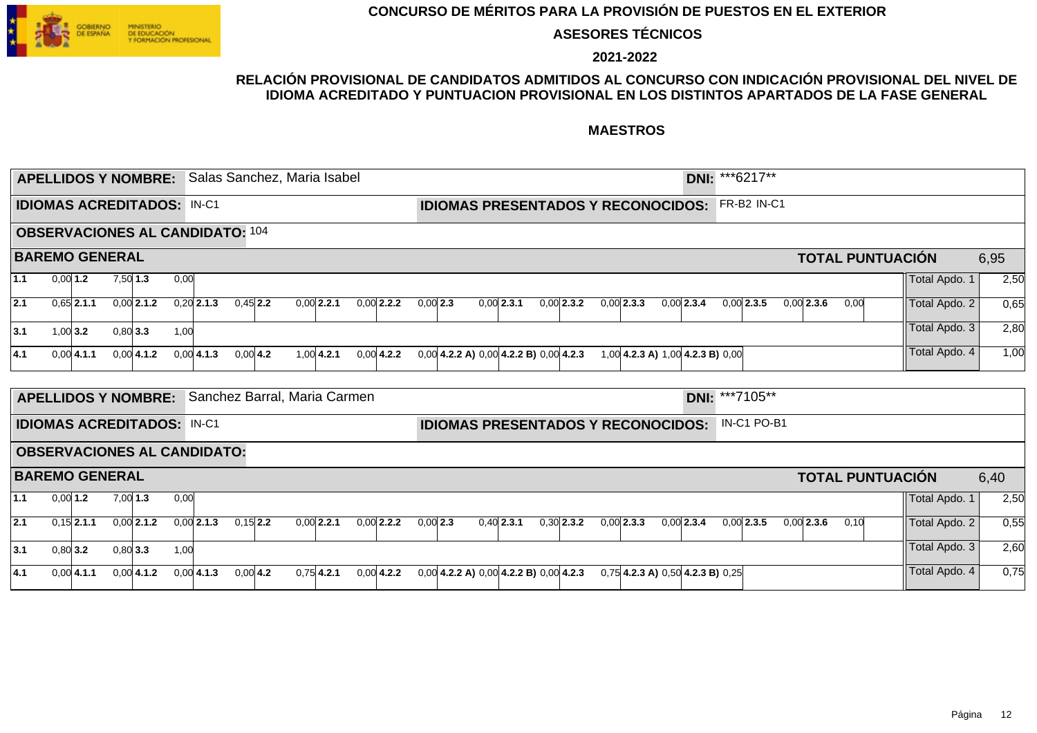

**ASESORES TÉCNICOS**

**2021-2022**

### **RELACIÓN PROVISIONAL DE CANDIDATOS ADMITIDOS AL CONCURSO CON INDICACIÓN PROVISIONAL DEL NIVEL DE IDIOMA ACREDITADO Y PUNTUACION PROVISIONAL EN LOS DISTINTOS APARTADOS DE LA FASE GENERAL**

|     |            | <b>APELLIDOS Y NOMBRE:</b>        |            |              |      | Salas Sanchez, Maria Isabel            |            |              |               |              |            |                                              |              |              |              |                                        | DNI: *** 6217**       |              |                         |               |      |
|-----|------------|-----------------------------------|------------|--------------|------|----------------------------------------|------------|--------------|---------------|--------------|------------|----------------------------------------------|--------------|--------------|--------------|----------------------------------------|-----------------------|--------------|-------------------------|---------------|------|
|     |            | <b>IDIOMAS ACREDITADOS: IN-C1</b> |            |              |      |                                        |            |              |               |              |            | <b>IDIOMAS PRESENTADOS Y RECONOCIDOS:</b>    |              |              |              |                                        | FR-B2 IN-C1           |              |                         |               |      |
|     |            |                                   |            |              |      | <b>OBSERVACIONES AL CANDIDATO: 104</b> |            |              |               |              |            |                                              |              |              |              |                                        |                       |              |                         |               |      |
|     |            | <b>BAREMO GENERAL</b>             |            |              |      |                                        |            |              |               |              |            |                                              |              |              |              |                                        |                       |              | <b>TOTAL PUNTUACIÓN</b> |               | 6,95 |
| 1.1 | $0,00$ 1.2 |                                   | $7,50$ 1.3 |              | 0,00 |                                        |            |              |               |              |            |                                              |              |              |              |                                        |                       |              |                         | Total Apdo. 1 | 2,50 |
| 2.1 |            | $0,65$   2.1.1                    |            | $0,00$ 2.1.2 |      | $0,20$ 2.1.3                           | $0.45$ 2.2 | $0,00$ 2.2.1 |               | $0,00$ 2.2.2 | $0,00$ 2.3 |                                              | $0.00$ 2.3.1 | $0,00$ 2.3.2 | $0,00$ 2.3.3 | $0,00$ 2.3.4                           | $0,00$ 2.3.5          | $0.00$ 2.3.6 | 0,00                    | Total Apdo. 2 | 0,65 |
| 3.1 | $1,00$ 3.2 |                                   | $0,80$ 3.3 |              | 1,00 |                                        |            |              |               |              |            |                                              |              |              |              |                                        |                       |              |                         | Total Apdo. 3 | 2,80 |
| 4.1 |            | $0,00$ 4.1.1                      |            | $0,00$ 4.1.2 |      | $0,00$ 4.1.3                           | $0,00$ 4.2 |              | $1.00 $ 4.2.1 | $0.00$ 4.2.2 |            | $0,00$ 4.2.2 A) $0,00$ 4.2.2 B) $0,00$ 4.2.3 |              |              |              | 1,00 4.2.3 A) 1,00 4.2.3 B) 0,00       |                       |              |                         | Total Apdo. 4 | 1,00 |
|     |            | <b>APELLIDOS Y NOMBRE:</b>        |            |              |      | Sanchez Barral, Maria Carmen           |            |              |               |              |            |                                              |              |              |              |                                        | <b>DNI: ***7105**</b> |              |                         |               |      |
|     |            |                                   |            |              |      |                                        |            |              |               |              |            |                                              |              |              |              |                                        |                       |              |                         |               |      |
|     |            | <b>IDIOMAS ACREDITADOS: IN-C1</b> |            |              |      |                                        |            |              |               |              |            | <b>IDIOMAS PRESENTADOS Y RECONOCIDOS:</b>    |              |              |              |                                        | IN-C1 PO-B1           |              |                         |               |      |
|     |            |                                   |            |              |      | <b>OBSERVACIONES AL CANDIDATO:</b>     |            |              |               |              |            |                                              |              |              |              |                                        |                       |              |                         |               |      |
|     |            | <b>BAREMO GENERAL</b>             |            |              |      |                                        |            |              |               |              |            |                                              |              |              |              |                                        |                       |              | <b>TOTAL PUNTUACIÓN</b> |               | 6,40 |
| 1.1 | $0,00$ 1.2 |                                   | $7,00$ 1.3 |              | 0,00 |                                        |            |              |               |              |            |                                              |              |              |              |                                        |                       |              |                         | Total Apdo. 1 | 2,50 |
| 2.1 |            | $0.15$   2.1.1                    |            | $0,00$ 2.1.2 |      | $0,00$ 2.1.3                           | $0,15$ 2.2 |              | $0.00$ 2.2.1  | $0.00$ 2.2.2 | $0,00$ 2.3 |                                              | $0,40$ 2.3.1 | $0,30$ 2.3.2 | $0.00$ 2.3.3 | $0.00$ 2.3.4                           | $0.00$ 2.3.5          | $0,00$ 2.3.6 | 0,10                    | Total Apdo. 2 | 0,55 |
| 3.1 |            | $0,80$ 3.2                        | $0,80$ 3.3 |              | 1,00 |                                        |            |              |               |              |            |                                              |              |              |              |                                        |                       |              |                         | Total Apdo. 3 | 2,60 |
| 4.1 |            | $0,00$ 4.1.1                      |            | $0,00$ 4.1.2 |      | $0,00$ 4.1.3                           | $0,00$ 4.2 |              | $0,75$ 4.2.1  | $0.00$ 4.2.2 |            | $0,00$ 4.2.2 A) $0,00$ 4.2.2 B) $0,00$ 4.2.3 |              |              |              | $0,75$ 4.2.3 A) $0,50$ 4.2.3 B) $0,25$ |                       |              |                         | Total Apdo. 4 | 0,75 |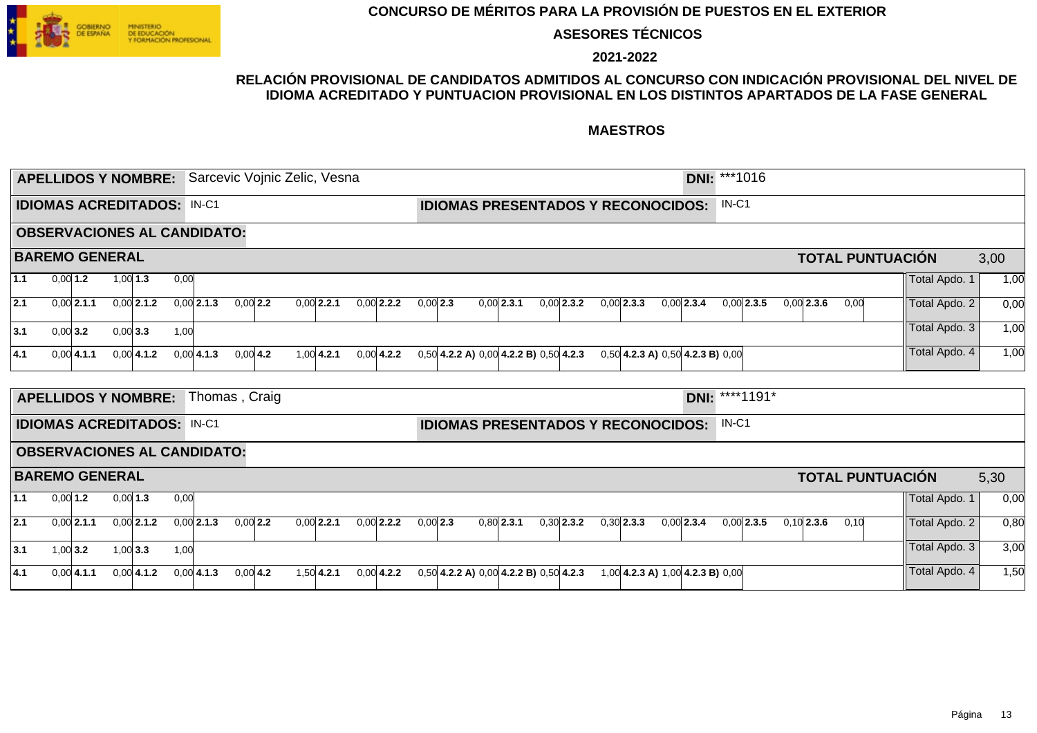

**ASESORES TÉCNICOS**

**2021-2022**

### **RELACIÓN PROVISIONAL DE CANDIDATOS ADMITIDOS AL CONCURSO CON INDICACIÓN PROVISIONAL DEL NIVEL DE IDIOMA ACREDITADO Y PUNTUACION PROVISIONAL EN LOS DISTINTOS APARTADOS DE LA FASE GENERAL**

|       |                       |            | <b>APELLIDOS Y NOMBRE:</b> |                                   |                                    |               | Sarcevic Vojnic Zelic, Vesna |               |              |            |                                              |              |                                        |              | DNI: ***1016   |              |                         |               |      |
|-------|-----------------------|------------|----------------------------|-----------------------------------|------------------------------------|---------------|------------------------------|---------------|--------------|------------|----------------------------------------------|--------------|----------------------------------------|--------------|----------------|--------------|-------------------------|---------------|------|
|       |                       |            |                            | <b>IDIOMAS ACREDITADOS: IN-C1</b> |                                    |               |                              |               |              |            | <b>IDIOMAS PRESENTADOS Y RECONOCIDOS:</b>    |              |                                        |              | $IN-C1$        |              |                         |               |      |
|       |                       |            |                            |                                   | <b>OBSERVACIONES AL CANDIDATO:</b> |               |                              |               |              |            |                                              |              |                                        |              |                |              |                         |               |      |
|       | <b>BAREMO GENERAL</b> |            |                            |                                   |                                    |               |                              |               |              |            |                                              |              |                                        |              |                |              | <b>TOTAL PUNTUACIÓN</b> |               | 3,00 |
| 1.1   | $0,00$ 1.2            | $1,00$ 1.3 |                            | 0,00                              |                                    |               |                              |               |              |            |                                              |              |                                        |              |                |              |                         | Total Apdo. 1 | 1,00 |
| 2.1   | $0,00$ 2.1.1          |            | $0,00$ 2.1.2               |                                   | $0,00$ 2.1.3                       | $0,00$ 2.2    |                              | $0.00$ 2.2.1  | $0.00$ 2.2.2 | $0,00$ 2.3 | $0.00$ 2.3.1                                 | $0,00$ 2.3.2 | $0.00$ 2.3.3                           | $0.00$ 2.3.4 | $0,00$ 2.3.5   | $0,00$ 2.3.6 | 0,00                    | Total Apdo. 2 | 0,00 |
| 3.1   | $0,00$ 3.2            | $0,00$ 3.3 |                            | 1,00                              |                                    |               |                              |               |              |            |                                              |              |                                        |              |                |              |                         | Total Apdo. 3 | 1,00 |
| 4.1   | $0,00$ 4.1.1          |            | $0,00$ 4.1.2               |                                   | $0,00$ 4.1.3                       | $0,00$ 4.2    |                              | $1.00 $ 4.2.1 | $0.00$ 4.2.2 |            | $0,50$ 4.2.2 A) $0,00$ 4.2.2 B) $0,50$ 4.2.3 |              | $0,50$ 4.2.3 A) $0,50$ 4.2.3 B) $0,00$ |              |                |              |                         | Total Apdo. 4 | 1,00 |
|       |                       |            | <b>APELLIDOS Y NOMBRE:</b> |                                   |                                    | Thomas, Craig |                              |               |              |            |                                              |              |                                        |              | DNI: ****1191* |              |                         |               |      |
|       |                       |            |                            | <b>IDIOMAS ACREDITADOS: IN-C1</b> |                                    |               |                              |               |              |            | <b>IDIOMAS PRESENTADOS Y RECONOCIDOS:</b>    |              |                                        |              | $IN-C1$        |              |                         |               |      |
|       |                       |            |                            |                                   | <b>OBSERVACIONES AL CANDIDATO:</b> |               |                              |               |              |            |                                              |              |                                        |              |                |              |                         |               |      |
|       | <b>BAREMO GENERAL</b> |            |                            |                                   |                                    |               |                              |               |              |            |                                              |              |                                        |              |                |              | <b>TOTAL PUNTUACIÓN</b> |               | 5,30 |
| $1.1$ | $0,00$ 1.2            | $0,00$ 1.3 |                            | 0,00                              |                                    |               |                              |               |              |            |                                              |              |                                        |              |                |              |                         | Total Apdo. 1 | 0,00 |
| 2.1   | $0,00$ 2.1.1          |            | $0,00$ 2.1.2               |                                   | $0,00$ 2.1.3                       | $0,00$ 2.2    |                              | $0.00$ 2.2.1  | $0,00$ 2.2.2 | $0,00$ 2.3 | $0,80$ 2.3.1                                 | $0,30$ 2.3.2 | $0,30$ 2.3.3                           | $0,00$ 2.3.4 | $0.00$ 2.3.5   | $0,10$ 2.3.6 | 0,10                    | Total Apdo. 2 | 0,80 |
| 3.1   | $1,00$ 3.2            | $1,00$ 3.3 |                            | 1,00                              |                                    |               |                              |               |              |            |                                              |              |                                        |              |                |              |                         | Total Apdo. 3 | 3,00 |
| 4.1   | $0,00$ 4.1.1          |            | $0,00$ 4.1.2               |                                   | $0,00$ 4.1.3                       | $0,00$ 4.2    |                              | $1,50$ 4.2.1  | $0.00$ 4.2.2 |            | $0,50$ 4.2.2 A) $0,00$ 4.2.2 B) $0,50$ 4.2.3 |              | 1,00 4.2.3 A) 1,00 4.2.3 B) 0,00       |              |                |              |                         | Total Apdo. 4 | 1,50 |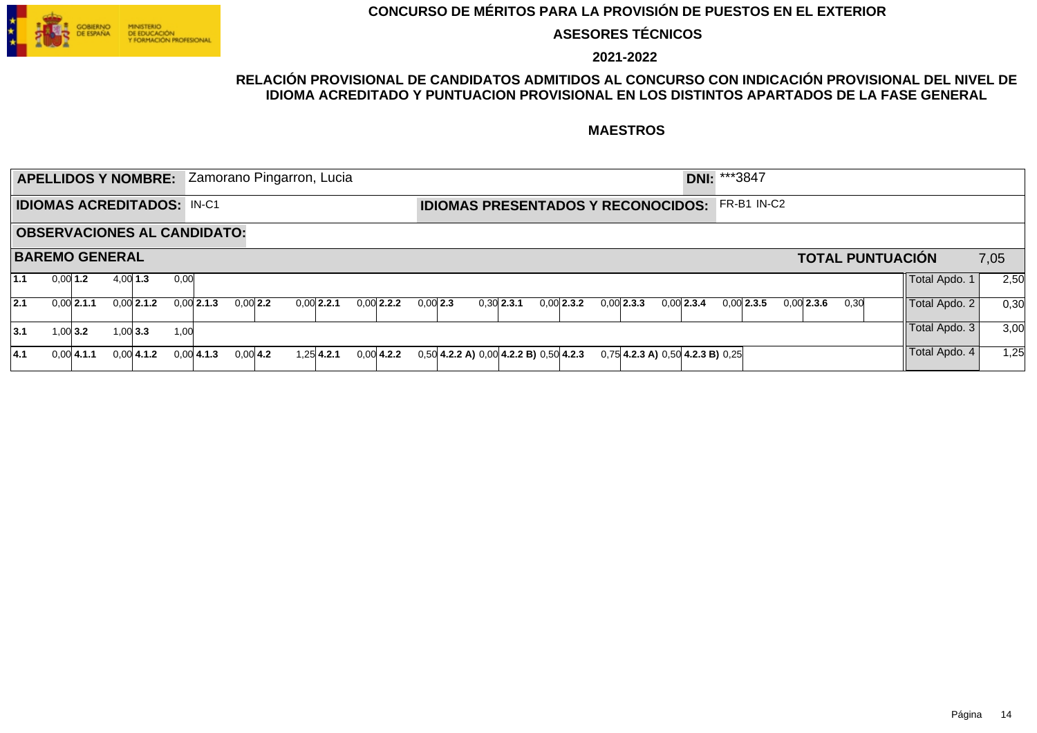

**ASESORES TÉCNICOS**

**2021-2022**

### **RELACIÓN PROVISIONAL DE CANDIDATOS ADMITIDOS AL CONCURSO CON INDICACIÓN PROVISIONAL DEL NIVEL DE IDIOMA ACREDITADO Y PUNTUACION PROVISIONAL EN LOS DISTINTOS APARTADOS DE LA FASE GENERAL**

|                                   |                       |               |            | <b>APELLIDOS Y NOMBRE:</b> |      |                                    |             | Zamorano Pingarron, Lucia |                                           |            |                                              |              |  |              |                                        | <b>DNI: ***3847</b> |              |              |      |                         |      |      |
|-----------------------------------|-----------------------|---------------|------------|----------------------------|------|------------------------------------|-------------|---------------------------|-------------------------------------------|------------|----------------------------------------------|--------------|--|--------------|----------------------------------------|---------------------|--------------|--------------|------|-------------------------|------|------|
| <b>IDIOMAS ACREDITADOS: IN-C1</b> |                       |               |            |                            |      |                                    |             |                           | <b>IDIOMAS PRESENTADOS Y RECONOCIDOS:</b> |            |                                              |              |  |              |                                        | FR-B1 IN-C2         |              |              |      |                         |      |      |
|                                   |                       |               |            |                            |      | <b>OBSERVACIONES AL CANDIDATO:</b> |             |                           |                                           |            |                                              |              |  |              |                                        |                     |              |              |      |                         |      |      |
|                                   | <b>BAREMO GENERAL</b> |               |            |                            |      |                                    |             |                           |                                           |            |                                              |              |  |              |                                        |                     |              |              |      | <b>TOTAL PUNTUACIÓN</b> | 7,05 |      |
| 1.1                               | $0,00$ 1.2            |               | $4,00$ 1.3 |                            | 0.00 |                                    |             |                           |                                           |            |                                              |              |  |              |                                        |                     |              |              |      | Total Apdo. 1           |      | 2,50 |
| 12.1                              |                       | $0.001$ 2.1.1 |            | $0.001$ 2.1.2              |      | $0.00$ 2.1.3                       | $0.00$ 2.2  | $0.001$ 2.2.1             | $0,00$ 2.2.2                              | $0,00$ 2.3 | 0.30 2.3.1                                   | $0,00$ 2.3.2 |  | $0,00$ 2.3.3 | 0.00 2.3.4                             |                     | $0.00$ 2.3.5 | $0.00$ 2.3.6 | 0,30 | Total Apdo. 2           |      | 0,30 |
| 13.1                              |                       | 1.0013.2      |            | 1.0013.3                   | 1,00 |                                    |             |                           |                                           |            |                                              |              |  |              |                                        |                     |              |              |      | Total Apdo. 3           |      | 3,00 |
| 4.1                               |                       | 0.0014.1.1    |            | $0.00$ 4.1.2               |      | $0.001$ 4.1.3                      | $0.00 $ 4.2 | $1.25$ 4.2.1              | $0,00$ 4.2.2                              |            | $0,50$ 4.2.2 A) $0,00$ 4.2.2 B) $0,50$ 4.2.3 |              |  |              | $0,75$ 4.2.3 A) $0,50$ 4.2.3 B) $0,25$ |                     |              |              |      | Total Apdo. 4           |      | 1,25 |